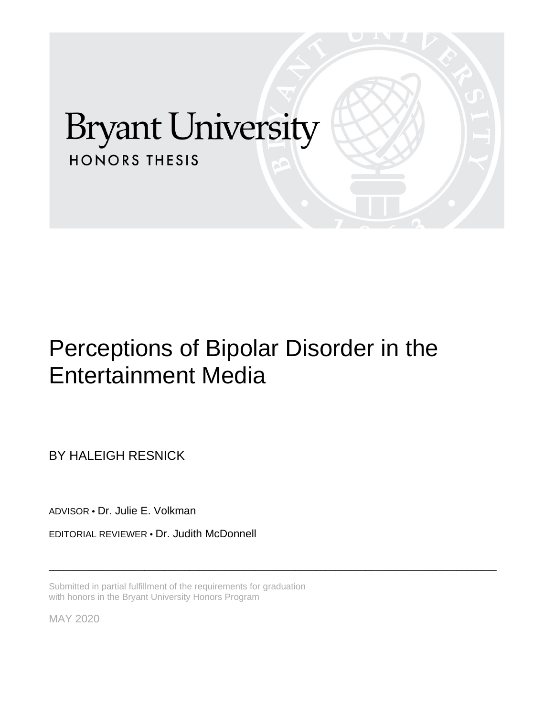# **Bryant University HONORS THESIS**

## Perceptions of Bipolar Disorder in the Entertainment Media

\_\_\_\_\_\_\_\_\_\_\_\_\_\_\_\_\_\_\_\_\_\_\_\_\_\_\_\_\_\_\_\_\_\_\_\_\_\_\_\_\_\_\_\_\_\_\_\_\_\_\_\_\_\_\_\_\_\_\_\_\_\_\_\_\_\_\_\_\_\_\_\_\_\_\_\_\_\_\_\_\_\_\_\_\_\_\_\_\_

BY HALEIGH RESNICK

ADVISOR • Dr. Julie E. Volkman

EDITORIAL REVIEWER • Dr. Judith McDonnell

Submitted in partial fulfillment of the requirements for graduation with honors in the Bryant University Honors Program

MAY 2020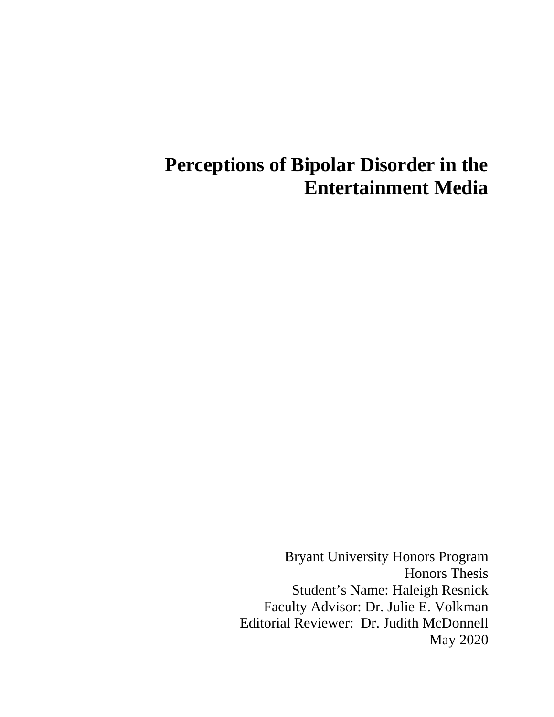## **Perceptions of Bipolar Disorder in the Entertainment Media**

Bryant University Honors Program Honors Thesis Student's Name: Haleigh Resnick Faculty Advisor: Dr. Julie E. Volkman Editorial Reviewer: Dr. Judith McDonnell May 2020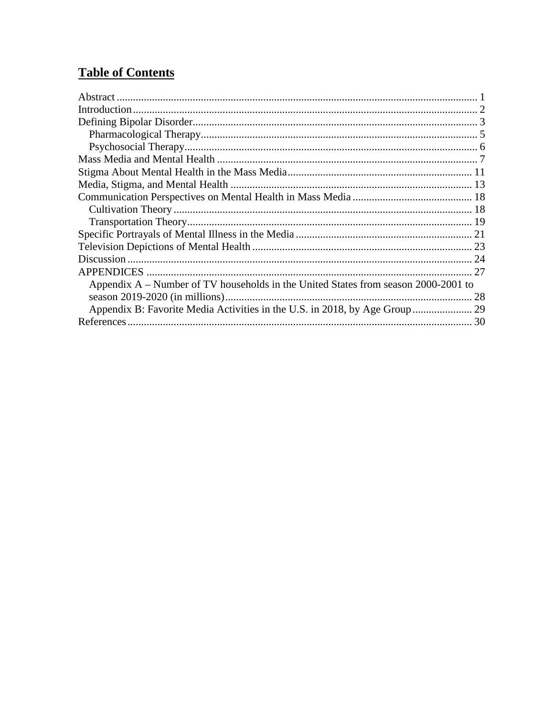### **Table of Contents**

| Appendix $A$ – Number of TV households in the United States from season 2000-2001 to |    |
|--------------------------------------------------------------------------------------|----|
|                                                                                      | 28 |
|                                                                                      |    |
|                                                                                      |    |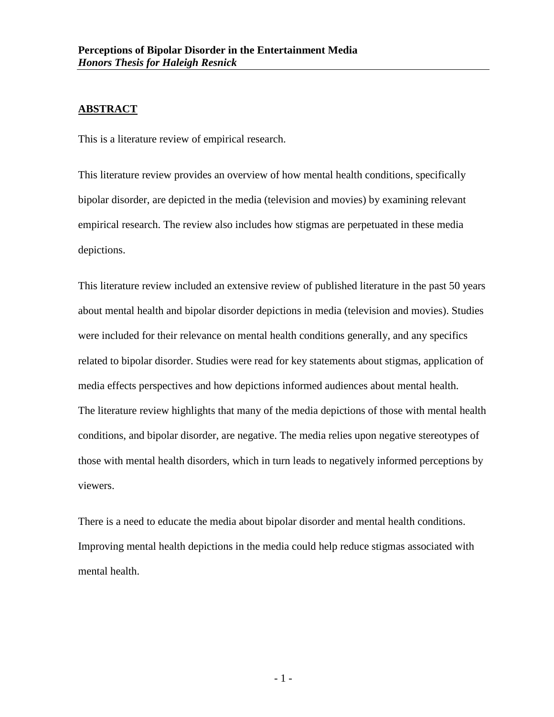#### <span id="page-3-0"></span>**ABSTRACT**

This is a literature review of empirical research.

This literature review provides an overview of how mental health conditions, specifically bipolar disorder, are depicted in the media (television and movies) by examining relevant empirical research. The review also includes how stigmas are perpetuated in these media depictions.

This literature review included an extensive review of published literature in the past 50 years about mental health and bipolar disorder depictions in media (television and movies). Studies were included for their relevance on mental health conditions generally, and any specifics related to bipolar disorder. Studies were read for key statements about stigmas, application of media effects perspectives and how depictions informed audiences about mental health. The literature review highlights that many of the media depictions of those with mental health conditions, and bipolar disorder, are negative. The media relies upon negative stereotypes of those with mental health disorders, which in turn leads to negatively informed perceptions by viewers.

There is a need to educate the media about bipolar disorder and mental health conditions. Improving mental health depictions in the media could help reduce stigmas associated with mental health.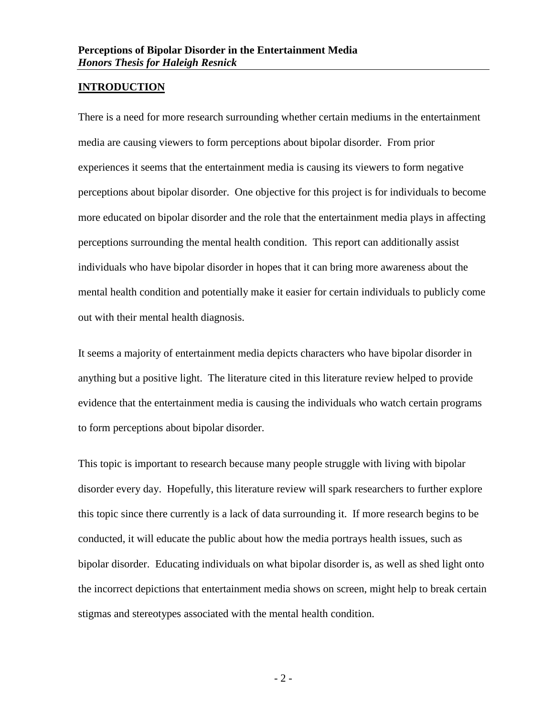#### <span id="page-4-0"></span>**INTRODUCTION**

There is a need for more research surrounding whether certain mediums in the entertainment media are causing viewers to form perceptions about bipolar disorder. From prior experiences it seems that the entertainment media is causing its viewers to form negative perceptions about bipolar disorder. One objective for this project is for individuals to become more educated on bipolar disorder and the role that the entertainment media plays in affecting perceptions surrounding the mental health condition. This report can additionally assist individuals who have bipolar disorder in hopes that it can bring more awareness about the mental health condition and potentially make it easier for certain individuals to publicly come out with their mental health diagnosis.

It seems a majority of entertainment media depicts characters who have bipolar disorder in anything but a positive light. The literature cited in this literature review helped to provide evidence that the entertainment media is causing the individuals who watch certain programs to form perceptions about bipolar disorder.

This topic is important to research because many people struggle with living with bipolar disorder every day. Hopefully, this literature review will spark researchers to further explore this topic since there currently is a lack of data surrounding it. If more research begins to be conducted, it will educate the public about how the media portrays health issues, such as bipolar disorder. Educating individuals on what bipolar disorder is, as well as shed light onto the incorrect depictions that entertainment media shows on screen, might help to break certain stigmas and stereotypes associated with the mental health condition.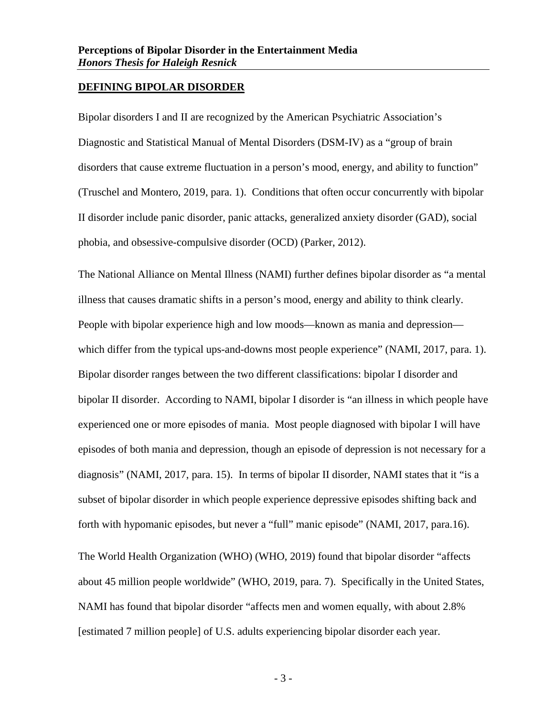#### <span id="page-5-0"></span>**DEFINING BIPOLAR DISORDER**

Bipolar disorders I and II are recognized by the American Psychiatric Association's Diagnostic and Statistical Manual of Mental Disorders (DSM-IV) as a "group of brain disorders that cause extreme fluctuation in a person's mood, energy, and ability to function" (Truschel and Montero, 2019, para. 1). Conditions that often occur concurrently with bipolar II disorder include panic disorder, panic attacks, generalized anxiety disorder (GAD), social phobia, and obsessive-compulsive disorder (OCD) (Parker, 2012).

The National Alliance on Mental Illness (NAMI) further defines bipolar disorder as "a mental illness that causes dramatic shifts in a person's mood, energy and ability to think clearly. People with bipolar experience high and low moods—known as mania and depression which differ from the typical ups-and-downs most people experience" (NAMI, 2017, para. 1). Bipolar disorder ranges between the two different classifications: bipolar I disorder and bipolar II disorder. According to NAMI, bipolar I disorder is "an illness in which people have experienced one or more episodes of mania. Most people diagnosed with bipolar I will have episodes of both mania and depression, though an episode of depression is not necessary for a diagnosis" (NAMI, 2017, para. 15). In terms of bipolar II disorder, NAMI states that it "is a subset of bipolar disorder in which people experience depressive episodes shifting back and forth with hypomanic episodes, but never a "full" manic episode" (NAMI, 2017, para.16).

The World Health Organization (WHO) (WHO, 2019) found that bipolar disorder "affects about 45 million people worldwide" (WHO, 2019, para. 7). Specifically in the United States, NAMI has found that bipolar disorder "affects men and women equally, with about 2.8% [estimated 7 million people] of U.S. adults experiencing bipolar disorder each year.

- 3 -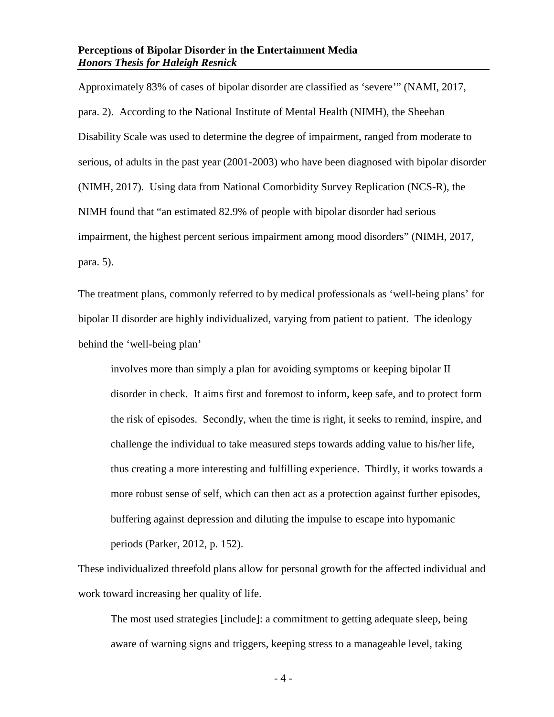Approximately 83% of cases of bipolar disorder are classified as 'severe'" (NAMI, 2017, para. 2). According to the National Institute of Mental Health (NIMH), the Sheehan Disability Scale was used to determine the degree of impairment, ranged from moderate to serious, of adults in the past year (2001-2003) who have been diagnosed with bipolar disorder (NIMH, 2017). Using data from National Comorbidity Survey Replication (NCS-R), the NIMH found that "an estimated 82.9% of people with bipolar disorder had serious impairment, the highest percent serious impairment among mood disorders" (NIMH, 2017, para. 5).

The treatment plans, commonly referred to by medical professionals as 'well-being plans' for bipolar II disorder are highly individualized, varying from patient to patient. The ideology behind the 'well-being plan'

involves more than simply a plan for avoiding symptoms or keeping bipolar II disorder in check. It aims first and foremost to inform, keep safe, and to protect form the risk of episodes. Secondly, when the time is right, it seeks to remind, inspire, and challenge the individual to take measured steps towards adding value to his/her life, thus creating a more interesting and fulfilling experience. Thirdly, it works towards a more robust sense of self, which can then act as a protection against further episodes, buffering against depression and diluting the impulse to escape into hypomanic periods (Parker, 2012, p. 152).

These individualized threefold plans allow for personal growth for the affected individual and work toward increasing her quality of life.

The most used strategies [include]: a commitment to getting adequate sleep, being aware of warning signs and triggers, keeping stress to a manageable level, taking

- 4 -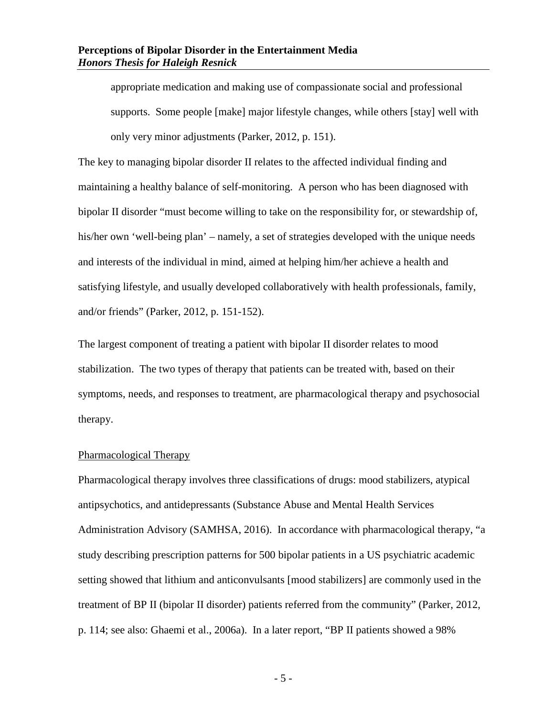appropriate medication and making use of compassionate social and professional supports. Some people [make] major lifestyle changes, while others [stay] well with only very minor adjustments (Parker, 2012, p. 151).

The key to managing bipolar disorder II relates to the affected individual finding and maintaining a healthy balance of self-monitoring. A person who has been diagnosed with bipolar II disorder "must become willing to take on the responsibility for, or stewardship of, his/her own 'well-being plan' – namely, a set of strategies developed with the unique needs and interests of the individual in mind, aimed at helping him/her achieve a health and satisfying lifestyle, and usually developed collaboratively with health professionals, family, and/or friends" (Parker, 2012, p. 151-152).

The largest component of treating a patient with bipolar II disorder relates to mood stabilization. The two types of therapy that patients can be treated with, based on their symptoms, needs, and responses to treatment, are pharmacological therapy and psychosocial therapy.

#### <span id="page-7-0"></span>Pharmacological Therapy

Pharmacological therapy involves three classifications of drugs: mood stabilizers, atypical antipsychotics, and antidepressants (Substance Abuse and Mental Health Services Administration Advisory (SAMHSA, 2016). In accordance with pharmacological therapy, "a study describing prescription patterns for 500 bipolar patients in a US psychiatric academic setting showed that lithium and anticonvulsants [mood stabilizers] are commonly used in the treatment of BP II (bipolar II disorder) patients referred from the community" (Parker, 2012, p. 114; see also: Ghaemi et al., 2006a). In a later report, "BP II patients showed a 98%

- 5 -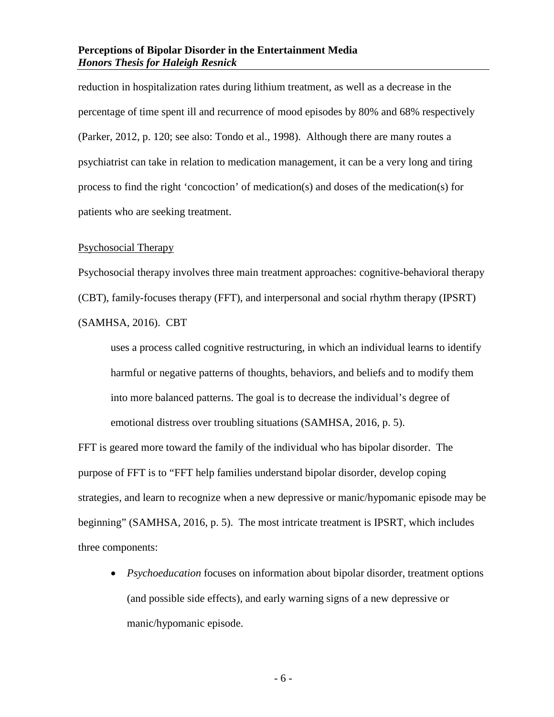reduction in hospitalization rates during lithium treatment, as well as a decrease in the percentage of time spent ill and recurrence of mood episodes by 80% and 68% respectively (Parker, 2012, p. 120; see also: Tondo et al., 1998). Although there are many routes a psychiatrist can take in relation to medication management, it can be a very long and tiring process to find the right 'concoction' of medication(s) and doses of the medication(s) for patients who are seeking treatment.

#### <span id="page-8-0"></span>Psychosocial Therapy

Psychosocial therapy involves three main treatment approaches: cognitive-behavioral therapy

(CBT), family-focuses therapy (FFT), and interpersonal and social rhythm therapy (IPSRT)

(SAMHSA, 2016). CBT

uses a process called cognitive restructuring, in which an individual learns to identify harmful or negative patterns of thoughts, behaviors, and beliefs and to modify them into more balanced patterns. The goal is to decrease the individual's degree of emotional distress over troubling situations (SAMHSA, 2016, p. 5).

FFT is geared more toward the family of the individual who has bipolar disorder. The purpose of FFT is to "FFT help families understand bipolar disorder, develop coping strategies, and learn to recognize when a new depressive or manic/hypomanic episode may be beginning" (SAMHSA, 2016, p. 5). The most intricate treatment is IPSRT, which includes three components:

• *Psychoeducation* focuses on information about bipolar disorder, treatment options (and possible side effects), and early warning signs of a new depressive or manic/hypomanic episode.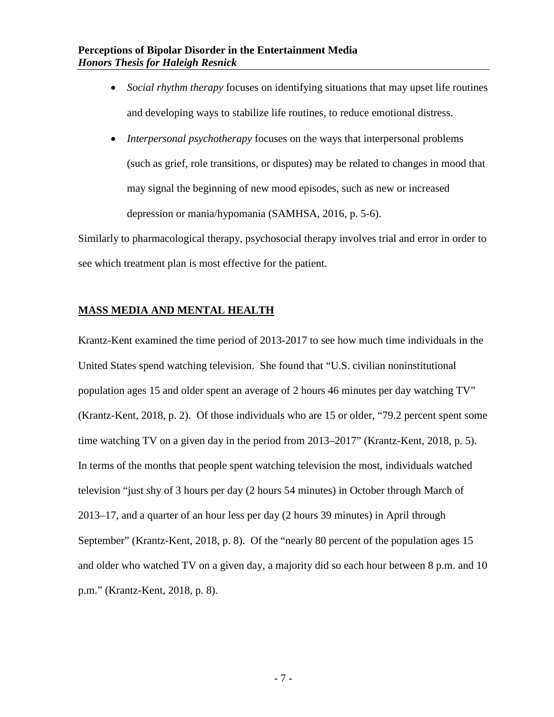- *Social rhythm therapy* focuses on identifying situations that may upset life routines and developing ways to stabilize life routines, to reduce emotional distress.
- *Interpersonal psychotherapy* focuses on the ways that interpersonal problems (such as grief, role transitions, or disputes) may be related to changes in mood that may signal the beginning of new mood episodes, such as new or increased depression or mania/hypomania (SAMHSA, 2016, p. 5-6).

Similarly to pharmacological therapy, psychosocial therapy involves trial and error in order to see which treatment plan is most effective for the patient.

#### <span id="page-9-0"></span>**MASS MEDIA AND MENTAL HEALTH**

Krantz-Kent examined the time period of 2013-2017 to see how much time individuals in the United States spend watching television. She found that "U.S. civilian noninstitutional population ages 15 and older spent an average of 2 hours 46 minutes per day watching TV" (Krantz-Kent, 2018, p. 2). Of those individuals who are 15 or older, "79.2 percent spent some time watching TV on a given day in the period from 2013–2017" (Krantz-Kent, 2018, p. 5). In terms of the months that people spent watching television the most, individuals watched television "just shy of 3 hours per day (2 hours 54 minutes) in October through March of 2013–17, and a quarter of an hour less per day (2 hours 39 minutes) in April through September" (Krantz-Kent, 2018, p. 8). Of the "nearly 80 percent of the population ages 15 and older who watched TV on a given day, a majority did so each hour between 8 p.m. and 10 p.m." (Krantz-Kent, 2018, p. 8).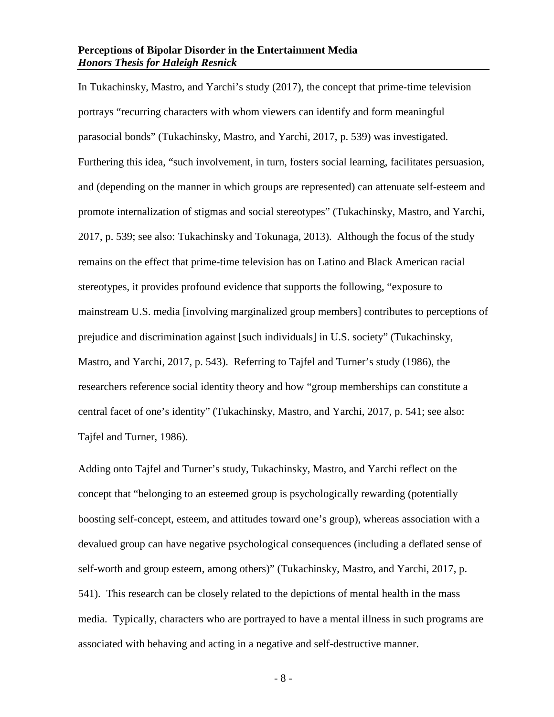In Tukachinsky, Mastro, and Yarchi's study (2017), the concept that prime-time television portrays "recurring characters with whom viewers can identify and form meaningful parasocial bonds" (Tukachinsky, Mastro, and Yarchi, 2017, p. 539) was investigated. Furthering this idea, "such involvement, in turn, fosters social learning, facilitates persuasion, and (depending on the manner in which groups are represented) can attenuate self-esteem and promote internalization of stigmas and social stereotypes" (Tukachinsky, Mastro, and Yarchi, 2017, p. 539; see also: Tukachinsky and Tokunaga, 2013). Although the focus of the study remains on the effect that prime-time television has on Latino and Black American racial stereotypes, it provides profound evidence that supports the following, "exposure to mainstream U.S. media [involving marginalized group members] contributes to perceptions of prejudice and discrimination against [such individuals] in U.S. society" (Tukachinsky, Mastro, and Yarchi, 2017, p. 543). Referring to Tajfel and Turner's study (1986), the researchers reference social identity theory and how "group memberships can constitute a central facet of one's identity" (Tukachinsky, Mastro, and Yarchi, 2017, p. 541; see also: Tajfel and Turner, 1986).

Adding onto Tajfel and Turner's study, Tukachinsky, Mastro, and Yarchi reflect on the concept that "belonging to an esteemed group is psychologically rewarding (potentially boosting self-concept, esteem, and attitudes toward one's group), whereas association with a devalued group can have negative psychological consequences (including a deflated sense of self-worth and group esteem, among others)" (Tukachinsky, Mastro, and Yarchi, 2017, p. 541). This research can be closely related to the depictions of mental health in the mass media. Typically, characters who are portrayed to have a mental illness in such programs are associated with behaving and acting in a negative and self-destructive manner.

- 8 -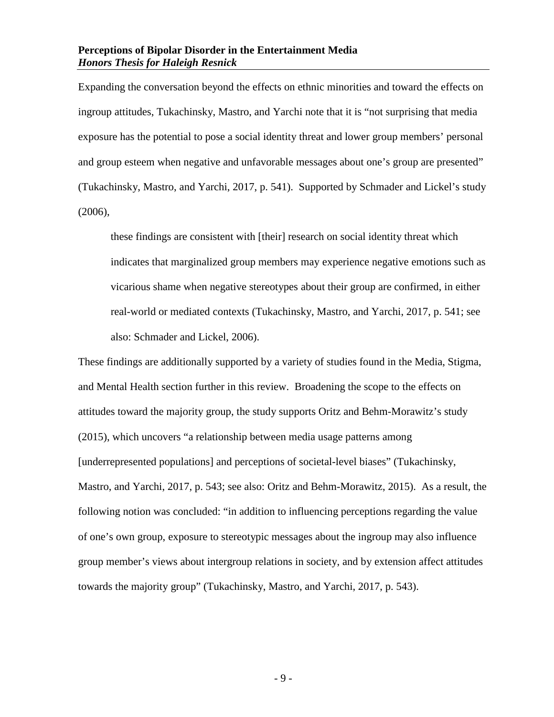Expanding the conversation beyond the effects on ethnic minorities and toward the effects on ingroup attitudes, Tukachinsky, Mastro, and Yarchi note that it is "not surprising that media exposure has the potential to pose a social identity threat and lower group members' personal and group esteem when negative and unfavorable messages about one's group are presented" (Tukachinsky, Mastro, and Yarchi, 2017, p. 541). Supported by Schmader and Lickel's study (2006),

these findings are consistent with [their] research on social identity threat which indicates that marginalized group members may experience negative emotions such as vicarious shame when negative stereotypes about their group are confirmed, in either real-world or mediated contexts (Tukachinsky, Mastro, and Yarchi, 2017, p. 541; see also: Schmader and Lickel, 2006).

These findings are additionally supported by a variety of studies found in the Media, Stigma, and Mental Health section further in this review. Broadening the scope to the effects on attitudes toward the majority group, the study supports Oritz and Behm-Morawitz's study (2015), which uncovers "a relationship between media usage patterns among [underrepresented populations] and perceptions of societal-level biases" (Tukachinsky, Mastro, and Yarchi, 2017, p. 543; see also: Oritz and Behm-Morawitz, 2015). As a result, the following notion was concluded: "in addition to influencing perceptions regarding the value of one's own group, exposure to stereotypic messages about the ingroup may also influence group member's views about intergroup relations in society, and by extension affect attitudes towards the majority group" (Tukachinsky, Mastro, and Yarchi, 2017, p. 543).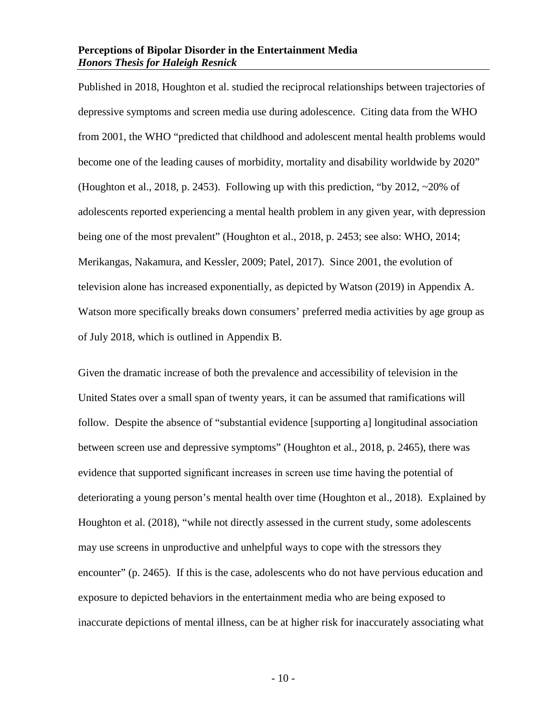Published in 2018, Houghton et al. studied the reciprocal relationships between trajectories of depressive symptoms and screen media use during adolescence. Citing data from the WHO from 2001, the WHO "predicted that childhood and adolescent mental health problems would become one of the leading causes of morbidity, mortality and disability worldwide by 2020" (Houghton et al., 2018, p. 2453). Following up with this prediction, "by 2012, ~20% of adolescents reported experiencing a mental health problem in any given year, with depression being one of the most prevalent" (Houghton et al., 2018, p. 2453; see also: WHO, 2014; Merikangas, Nakamura, and Kessler, 2009; Patel, 2017). Since 2001, the evolution of television alone has increased exponentially, as depicted by Watson (2019) in Appendix A. Watson more specifically breaks down consumers' preferred media activities by age group as of July 2018, which is outlined in Appendix B.

Given the dramatic increase of both the prevalence and accessibility of television in the United States over a small span of twenty years, it can be assumed that ramifications will follow. Despite the absence of "substantial evidence [supporting a] longitudinal association between screen use and depressive symptoms" (Houghton et al., 2018, p. 2465), there was evidence that supported significant increases in screen use time having the potential of deteriorating a young person's mental health over time (Houghton et al., 2018). Explained by Houghton et al. (2018), "while not directly assessed in the current study, some adolescents may use screens in unproductive and unhelpful ways to cope with the stressors they encounter" (p. 2465). If this is the case, adolescents who do not have pervious education and exposure to depicted behaviors in the entertainment media who are being exposed to inaccurate depictions of mental illness, can be at higher risk for inaccurately associating what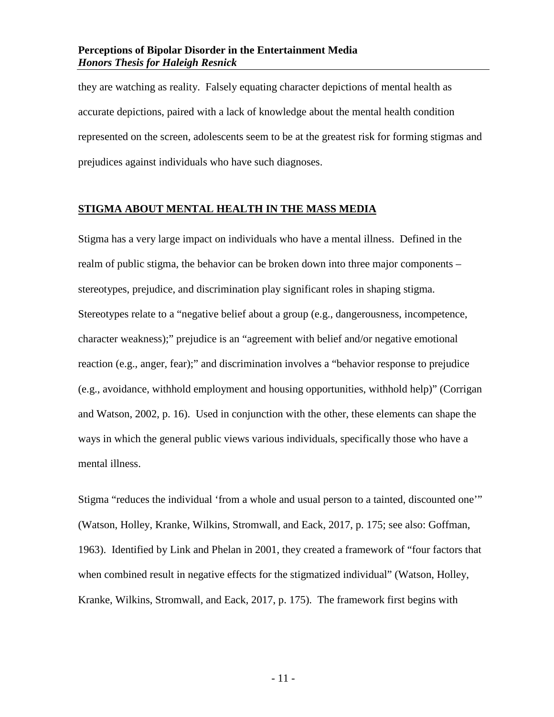they are watching as reality. Falsely equating character depictions of mental health as accurate depictions, paired with a lack of knowledge about the mental health condition represented on the screen, adolescents seem to be at the greatest risk for forming stigmas and prejudices against individuals who have such diagnoses.

#### <span id="page-13-0"></span>**STIGMA ABOUT MENTAL HEALTH IN THE MASS MEDIA**

Stigma has a very large impact on individuals who have a mental illness. Defined in the realm of public stigma, the behavior can be broken down into three major components – stereotypes, prejudice, and discrimination play significant roles in shaping stigma. Stereotypes relate to a "negative belief about a group (e.g., dangerousness, incompetence, character weakness);" prejudice is an "agreement with belief and/or negative emotional reaction (e.g., anger, fear);" and discrimination involves a "behavior response to prejudice (e.g., avoidance, withhold employment and housing opportunities, withhold help)" (Corrigan and Watson, 2002, p. 16). Used in conjunction with the other, these elements can shape the ways in which the general public views various individuals, specifically those who have a mental illness.

Stigma "reduces the individual 'from a whole and usual person to a tainted, discounted one'" (Watson, Holley, Kranke, Wilkins, Stromwall, and Eack, 2017, p. 175; see also: Goffman, 1963). Identified by Link and Phelan in 2001, they created a framework of "four factors that when combined result in negative effects for the stigmatized individual" (Watson, Holley, Kranke, Wilkins, Stromwall, and Eack, 2017, p. 175). The framework first begins with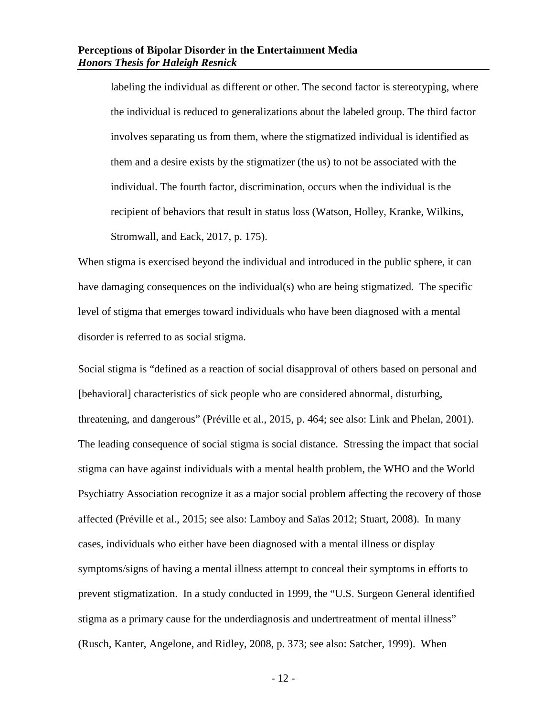labeling the individual as different or other. The second factor is stereotyping, where the individual is reduced to generalizations about the labeled group. The third factor involves separating us from them, where the stigmatized individual is identified as them and a desire exists by the stigmatizer (the us) to not be associated with the individual. The fourth factor, discrimination, occurs when the individual is the recipient of behaviors that result in status loss (Watson, Holley, Kranke, Wilkins, Stromwall, and Eack, 2017, p. 175).

When stigma is exercised beyond the individual and introduced in the public sphere, it can have damaging consequences on the individual(s) who are being stigmatized. The specific level of stigma that emerges toward individuals who have been diagnosed with a mental disorder is referred to as social stigma.

Social stigma is "defined as a reaction of social disapproval of others based on personal and [behavioral] characteristics of sick people who are considered abnormal, disturbing, threatening, and dangerous" (Préville et al., 2015, p. 464; see also: Link and Phelan, 2001). The leading consequence of social stigma is social distance. Stressing the impact that social stigma can have against individuals with a mental health problem, the WHO and the World Psychiatry Association recognize it as a major social problem affecting the recovery of those affected (Préville et al., 2015; see also: Lamboy and Saïas 2012; Stuart, 2008). In many cases, individuals who either have been diagnosed with a mental illness or display symptoms/signs of having a mental illness attempt to conceal their symptoms in efforts to prevent stigmatization. In a study conducted in 1999, the "U.S. Surgeon General identified stigma as a primary cause for the underdiagnosis and undertreatment of mental illness" (Rusch, Kanter, Angelone, and Ridley, 2008, p. 373; see also: Satcher, 1999). When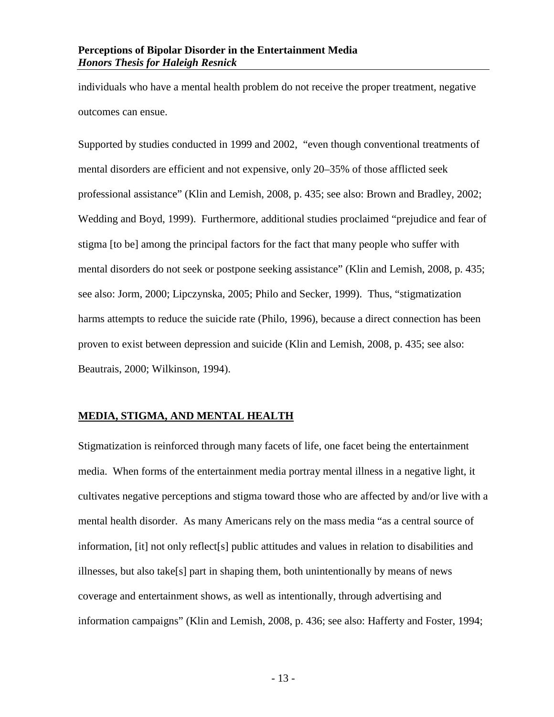individuals who have a mental health problem do not receive the proper treatment, negative outcomes can ensue.

Supported by studies conducted in 1999 and 2002, "even though conventional treatments of mental disorders are efficient and not expensive, only 20–35% of those afflicted seek professional assistance" (Klin and Lemish, 2008, p. 435; see also: Brown and Bradley, 2002; Wedding and Boyd, 1999). Furthermore, additional studies proclaimed "prejudice and fear of stigma [to be] among the principal factors for the fact that many people who suffer with mental disorders do not seek or postpone seeking assistance" (Klin and Lemish, 2008, p. 435; see also: Jorm, 2000; Lipczynska, 2005; Philo and Secker, 1999). Thus, "stigmatization harms attempts to reduce the suicide rate (Philo, 1996), because a direct connection has been proven to exist between depression and suicide (Klin and Lemish, 2008, p. 435; see also: Beautrais, 2000; Wilkinson, 1994).

#### <span id="page-15-0"></span>**MEDIA, STIGMA, AND MENTAL HEALTH**

Stigmatization is reinforced through many facets of life, one facet being the entertainment media. When forms of the entertainment media portray mental illness in a negative light, it cultivates negative perceptions and stigma toward those who are affected by and/or live with a mental health disorder. As many Americans rely on the mass media "as a central source of information, [it] not only reflect[s] public attitudes and values in relation to disabilities and illnesses, but also take[s] part in shaping them, both unintentionally by means of news coverage and entertainment shows, as well as intentionally, through advertising and information campaigns" (Klin and Lemish, 2008, p. 436; see also: Hafferty and Foster, 1994;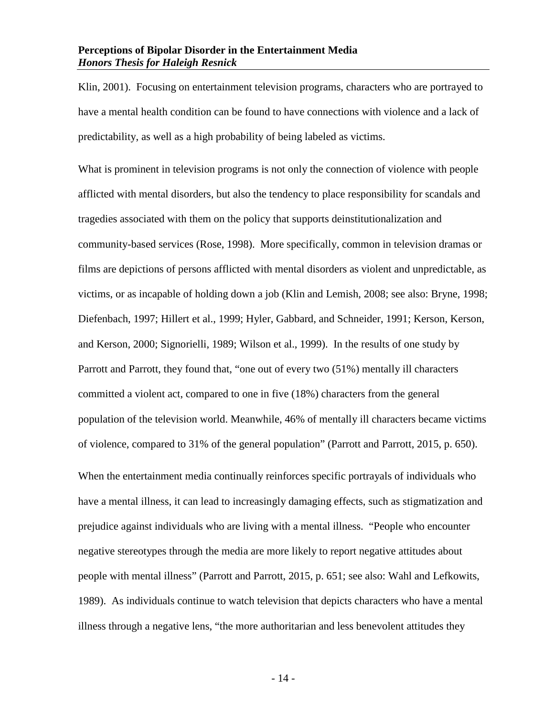Klin, 2001). Focusing on entertainment television programs, characters who are portrayed to have a mental health condition can be found to have connections with violence and a lack of predictability, as well as a high probability of being labeled as victims.

What is prominent in television programs is not only the connection of violence with people afflicted with mental disorders, but also the tendency to place responsibility for scandals and tragedies associated with them on the policy that supports deinstitutionalization and community-based services (Rose, 1998). More specifically, common in television dramas or films are depictions of persons afflicted with mental disorders as violent and unpredictable, as victims, or as incapable of holding down a job (Klin and Lemish, 2008; see also: Bryne, 1998; Diefenbach, 1997; Hillert et al., 1999; Hyler, Gabbard, and Schneider, 1991; Kerson, Kerson, and Kerson, 2000; Signorielli, 1989; Wilson et al., 1999). In the results of one study by Parrott and Parrott, they found that, "one out of every two (51%) mentally ill characters committed a violent act, compared to one in five (18%) characters from the general population of the television world. Meanwhile, 46% of mentally ill characters became victims of violence, compared to 31% of the general population" (Parrott and Parrott, 2015, p. 650).

When the entertainment media continually reinforces specific portrayals of individuals who have a mental illness, it can lead to increasingly damaging effects, such as stigmatization and prejudice against individuals who are living with a mental illness. "People who encounter negative stereotypes through the media are more likely to report negative attitudes about people with mental illness" (Parrott and Parrott, 2015, p. 651; see also: Wahl and Lefkowits, 1989). As individuals continue to watch television that depicts characters who have a mental illness through a negative lens, "the more authoritarian and less benevolent attitudes they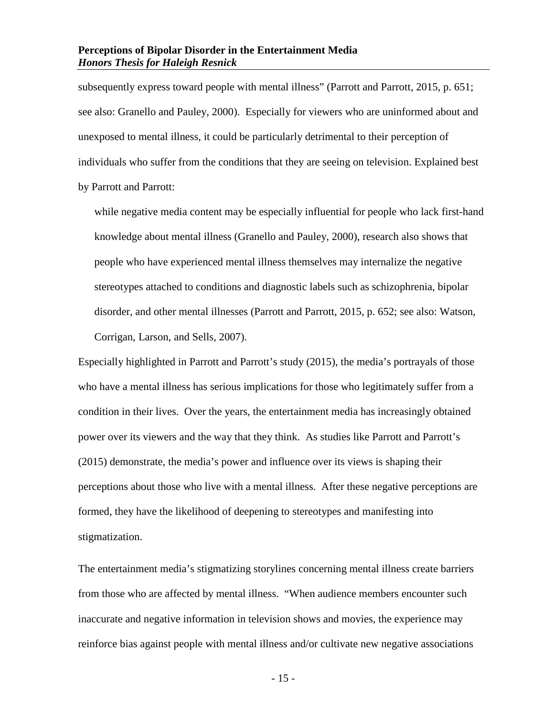subsequently express toward people with mental illness" (Parrott and Parrott, 2015, p. 651; see also: Granello and Pauley, 2000). Especially for viewers who are uninformed about and unexposed to mental illness, it could be particularly detrimental to their perception of individuals who suffer from the conditions that they are seeing on television. Explained best by Parrott and Parrott:

while negative media content may be especially influential for people who lack first-hand knowledge about mental illness (Granello and Pauley, 2000), research also shows that people who have experienced mental illness themselves may internalize the negative stereotypes attached to conditions and diagnostic labels such as schizophrenia, bipolar disorder, and other mental illnesses (Parrott and Parrott, 2015, p. 652; see also: Watson, Corrigan, Larson, and Sells, 2007).

Especially highlighted in Parrott and Parrott's study (2015), the media's portrayals of those who have a mental illness has serious implications for those who legitimately suffer from a condition in their lives. Over the years, the entertainment media has increasingly obtained power over its viewers and the way that they think. As studies like Parrott and Parrott's (2015) demonstrate, the media's power and influence over its views is shaping their perceptions about those who live with a mental illness. After these negative perceptions are formed, they have the likelihood of deepening to stereotypes and manifesting into stigmatization.

The entertainment media's stigmatizing storylines concerning mental illness create barriers from those who are affected by mental illness. "When audience members encounter such inaccurate and negative information in television shows and movies, the experience may reinforce bias against people with mental illness and/or cultivate new negative associations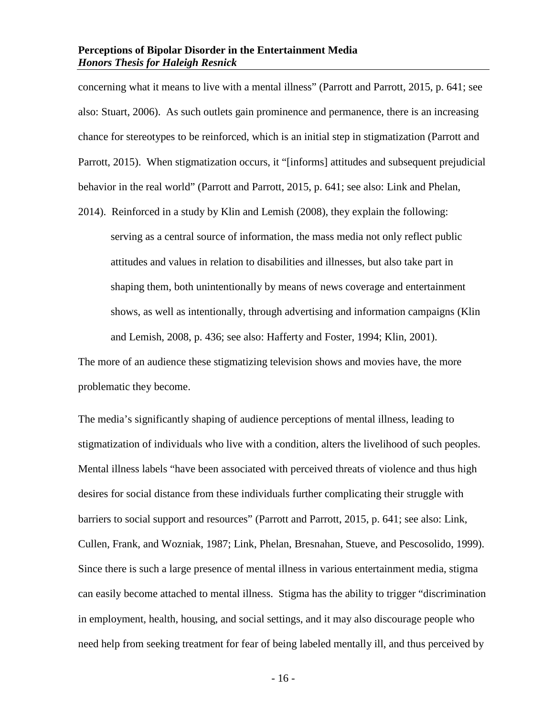concerning what it means to live with a mental illness" (Parrott and Parrott, 2015, p. 641; see also: Stuart, 2006). As such outlets gain prominence and permanence, there is an increasing chance for stereotypes to be reinforced, which is an initial step in stigmatization (Parrott and Parrott, 2015). When stigmatization occurs, it "[informs] attitudes and subsequent prejudicial behavior in the real world" (Parrott and Parrott, 2015, p. 641; see also: Link and Phelan,

2014). Reinforced in a study by Klin and Lemish (2008), they explain the following: serving as a central source of information, the mass media not only reflect public attitudes and values in relation to disabilities and illnesses, but also take part in shaping them, both unintentionally by means of news coverage and entertainment shows, as well as intentionally, through advertising and information campaigns (Klin and Lemish, 2008, p. 436; see also: Hafferty and Foster, 1994; Klin, 2001).

The more of an audience these stigmatizing television shows and movies have, the more problematic they become.

The media's significantly shaping of audience perceptions of mental illness, leading to stigmatization of individuals who live with a condition, alters the livelihood of such peoples. Mental illness labels "have been associated with perceived threats of violence and thus high desires for social distance from these individuals further complicating their struggle with barriers to social support and resources" (Parrott and Parrott, 2015, p. 641; see also: Link, Cullen, Frank, and Wozniak, 1987; Link, Phelan, Bresnahan, Stueve, and Pescosolido, 1999). Since there is such a large presence of mental illness in various entertainment media, stigma can easily become attached to mental illness. Stigma has the ability to trigger "discrimination in employment, health, housing, and social settings, and it may also discourage people who need help from seeking treatment for fear of being labeled mentally ill, and thus perceived by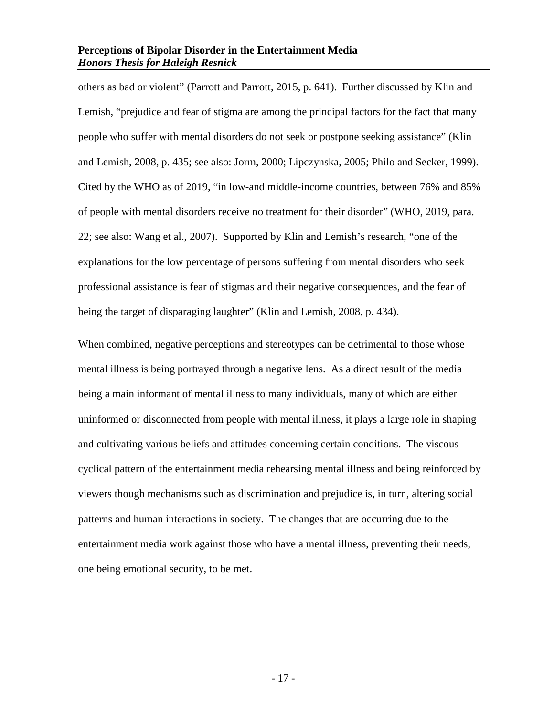others as bad or violent" (Parrott and Parrott, 2015, p. 641). Further discussed by Klin and Lemish, "prejudice and fear of stigma are among the principal factors for the fact that many people who suffer with mental disorders do not seek or postpone seeking assistance" (Klin and Lemish, 2008, p. 435; see also: Jorm, 2000; Lipczynska, 2005; Philo and Secker, 1999). Cited by the WHO as of 2019, "in low-and middle-income countries, between 76% and 85% of people with mental disorders receive no treatment for their disorder" (WHO, 2019, para. 22; see also: Wang et al., 2007). Supported by Klin and Lemish's research, "one of the explanations for the low percentage of persons suffering from mental disorders who seek professional assistance is fear of stigmas and their negative consequences, and the fear of being the target of disparaging laughter" (Klin and Lemish, 2008, p. 434).

When combined, negative perceptions and stereotypes can be detrimental to those whose mental illness is being portrayed through a negative lens. As a direct result of the media being a main informant of mental illness to many individuals, many of which are either uninformed or disconnected from people with mental illness, it plays a large role in shaping and cultivating various beliefs and attitudes concerning certain conditions. The viscous cyclical pattern of the entertainment media rehearsing mental illness and being reinforced by viewers though mechanisms such as discrimination and prejudice is, in turn, altering social patterns and human interactions in society. The changes that are occurring due to the entertainment media work against those who have a mental illness, preventing their needs, one being emotional security, to be met.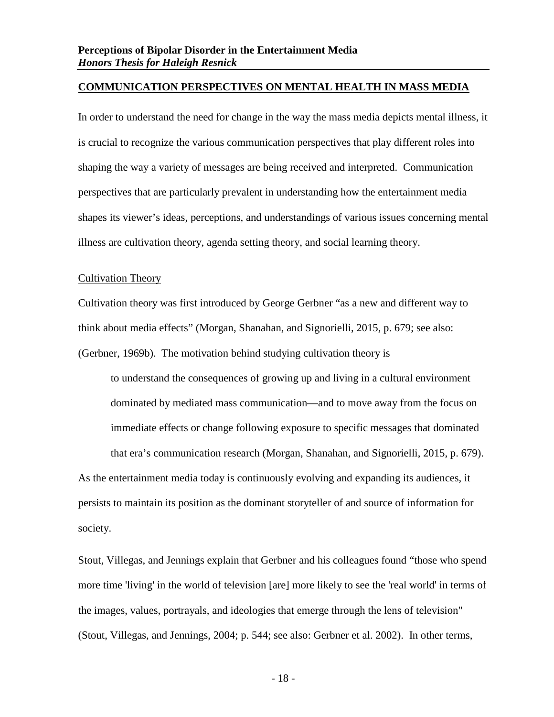#### <span id="page-20-0"></span>**COMMUNICATION PERSPECTIVES ON MENTAL HEALTH IN MASS MEDIA**

In order to understand the need for change in the way the mass media depicts mental illness, it is crucial to recognize the various communication perspectives that play different roles into shaping the way a variety of messages are being received and interpreted. Communication perspectives that are particularly prevalent in understanding how the entertainment media shapes its viewer's ideas, perceptions, and understandings of various issues concerning mental illness are cultivation theory, agenda setting theory, and social learning theory.

#### <span id="page-20-1"></span>Cultivation Theory

Cultivation theory was first introduced by George Gerbner "as a new and different way to think about media effects" (Morgan, Shanahan, and Signorielli, 2015, p. 679; see also: (Gerbner, 1969b). The motivation behind studying cultivation theory is

to understand the consequences of growing up and living in a cultural environment dominated by mediated mass communication—and to move away from the focus on immediate effects or change following exposure to specific messages that dominated that era's communication research (Morgan, Shanahan, and Signorielli, 2015, p. 679). As the entertainment media today is continuously evolving and expanding its audiences, it persists to maintain its position as the dominant storyteller of and source of information for society.

Stout, Villegas, and Jennings explain that Gerbner and his colleagues found "those who spend more time 'living' in the world of television [are] more likely to see the 'real world' in terms of the images, values, portrayals, and ideologies that emerge through the lens of television" (Stout, Villegas, and Jennings, 2004; p. 544; see also: Gerbner et al. 2002). In other terms,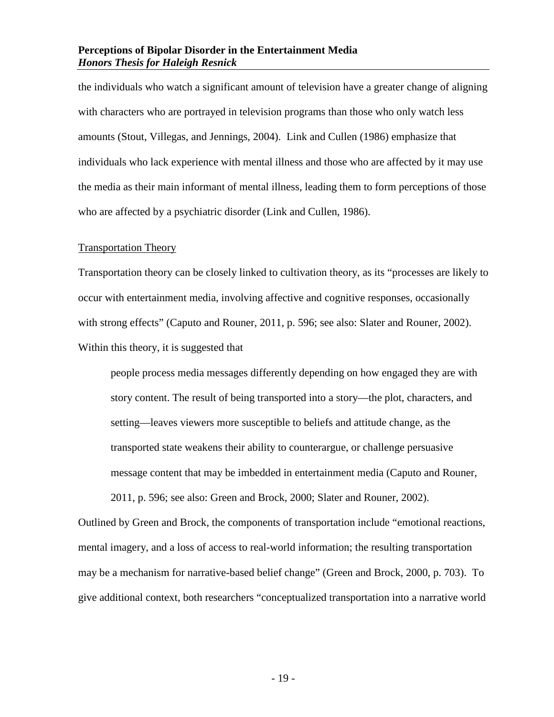the individuals who watch a significant amount of television have a greater change of aligning with characters who are portrayed in television programs than those who only watch less amounts (Stout, Villegas, and Jennings, 2004). Link and Cullen (1986) emphasize that individuals who lack experience with mental illness and those who are affected by it may use the media as their main informant of mental illness, leading them to form perceptions of those who are affected by a psychiatric disorder (Link and Cullen, 1986).

#### <span id="page-21-0"></span>Transportation Theory

Transportation theory can be closely linked to cultivation theory, as its "processes are likely to occur with entertainment media, involving affective and cognitive responses, occasionally with strong effects" (Caputo and Rouner, 2011, p. 596; see also: Slater and Rouner, 2002). Within this theory, it is suggested that

people process media messages differently depending on how engaged they are with story content. The result of being transported into a story—the plot, characters, and setting—leaves viewers more susceptible to beliefs and attitude change, as the transported state weakens their ability to counterargue, or challenge persuasive message content that may be imbedded in entertainment media (Caputo and Rouner,

2011, p. 596; see also: Green and Brock, 2000; Slater and Rouner, 2002).

Outlined by Green and Brock, the components of transportation include "emotional reactions, mental imagery, and a loss of access to real-world information; the resulting transportation may be a mechanism for narrative-based belief change" (Green and Brock, 2000, p. 703). To give additional context, both researchers "conceptualized transportation into a narrative world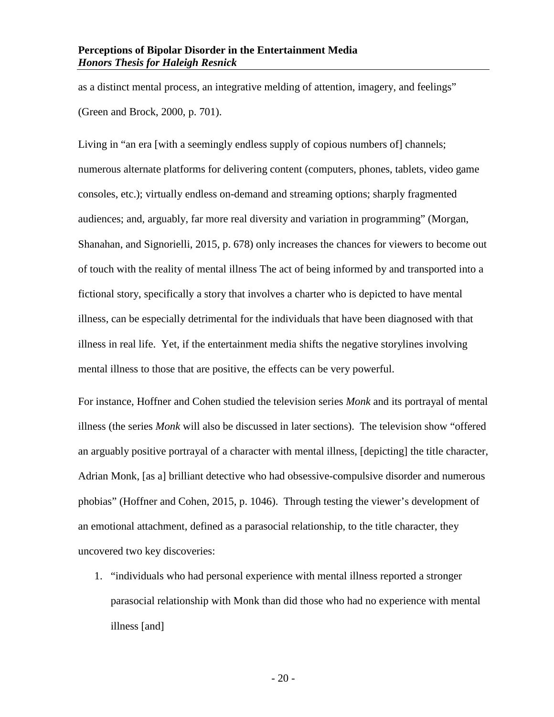as a distinct mental process, an integrative melding of attention, imagery, and feelings" (Green and Brock, 2000, p. 701).

Living in "an era [with a seemingly endless supply of copious numbers of] channels; numerous alternate platforms for delivering content (computers, phones, tablets, video game consoles, etc.); virtually endless on-demand and streaming options; sharply fragmented audiences; and, arguably, far more real diversity and variation in programming" (Morgan, Shanahan, and Signorielli, 2015, p. 678) only increases the chances for viewers to become out of touch with the reality of mental illness The act of being informed by and transported into a fictional story, specifically a story that involves a charter who is depicted to have mental illness, can be especially detrimental for the individuals that have been diagnosed with that illness in real life. Yet, if the entertainment media shifts the negative storylines involving mental illness to those that are positive, the effects can be very powerful.

For instance, Hoffner and Cohen studied the television series *Monk* and its portrayal of mental illness (the series *Monk* will also be discussed in later sections). The television show "offered an arguably positive portrayal of a character with mental illness, [depicting] the title character, Adrian Monk, [as a] brilliant detective who had obsessive-compulsive disorder and numerous phobias" (Hoffner and Cohen, 2015, p. 1046). Through testing the viewer's development of an emotional attachment, defined as a parasocial relationship, to the title character, they uncovered two key discoveries:

1. "individuals who had personal experience with mental illness reported a stronger parasocial relationship with Monk than did those who had no experience with mental illness [and]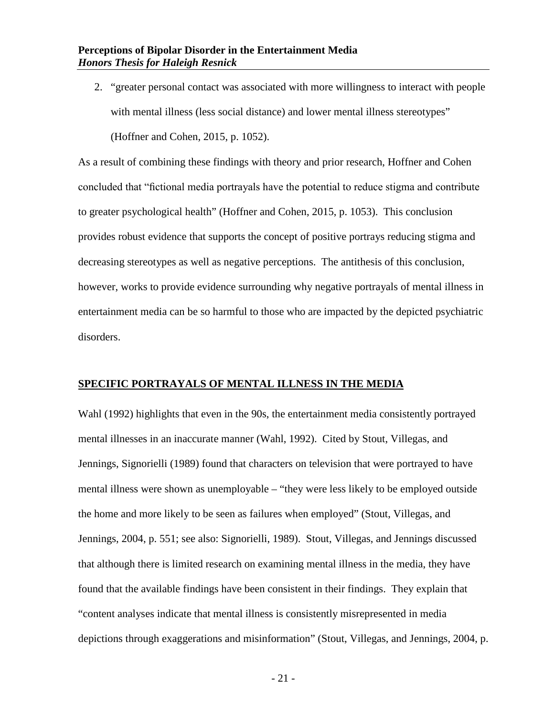2. "greater personal contact was associated with more willingness to interact with people with mental illness (less social distance) and lower mental illness stereotypes" (Hoffner and Cohen, 2015, p. 1052).

As a result of combining these findings with theory and prior research, Hoffner and Cohen concluded that "fictional media portrayals have the potential to reduce stigma and contribute to greater psychological health" (Hoffner and Cohen, 2015, p. 1053). This conclusion provides robust evidence that supports the concept of positive portrays reducing stigma and decreasing stereotypes as well as negative perceptions. The antithesis of this conclusion, however, works to provide evidence surrounding why negative portrayals of mental illness in entertainment media can be so harmful to those who are impacted by the depicted psychiatric disorders.

#### <span id="page-23-0"></span>**SPECIFIC PORTRAYALS OF MENTAL ILLNESS IN THE MEDIA**

Wahl (1992) highlights that even in the 90s, the entertainment media consistently portrayed mental illnesses in an inaccurate manner (Wahl, 1992). Cited by Stout, Villegas, and Jennings, Signorielli (1989) found that characters on television that were portrayed to have mental illness were shown as unemployable – "they were less likely to be employed outside the home and more likely to be seen as failures when employed" (Stout, Villegas, and Jennings, 2004, p. 551; see also: Signorielli, 1989). Stout, Villegas, and Jennings discussed that although there is limited research on examining mental illness in the media, they have found that the available findings have been consistent in their findings. They explain that "content analyses indicate that mental illness is consistently misrepresented in media depictions through exaggerations and misinformation" (Stout, Villegas, and Jennings, 2004, p.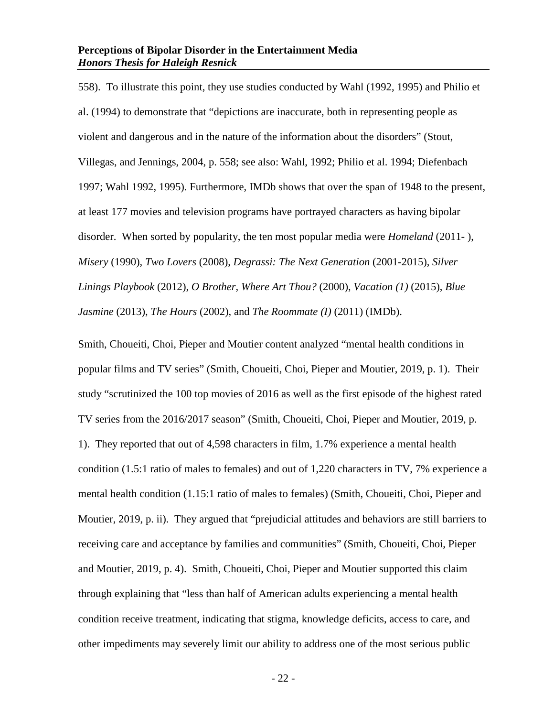558). To illustrate this point, they use studies conducted by Wahl (1992, 1995) and Philio et al. (1994) to demonstrate that "depictions are inaccurate, both in representing people as violent and dangerous and in the nature of the information about the disorders" (Stout, Villegas, and Jennings, 2004, p. 558; see also: Wahl, 1992; Philio et al. 1994; Diefenbach 1997; Wahl 1992, 1995). Furthermore, IMDb shows that over the span of 1948 to the present, at least 177 movies and television programs have portrayed characters as having bipolar disorder. When sorted by popularity, the ten most popular media were *Homeland* (2011- ), *Misery* (1990), *Two Lovers* (2008), *Degrassi: The Next Generation* (2001-2015), *Silver Linings Playbook* (2012), *O Brother, Where Art Thou?* (2000), *Vacation (1)* (2015), *Blue Jasmine* (2013), *The Hours* (2002), and *The Roommate (I)* (2011) (IMDb).

Smith, Choueiti, Choi, Pieper and Moutier content analyzed "mental health conditions in popular films and TV series" (Smith, Choueiti, Choi, Pieper and Moutier, 2019, p. 1). Their study "scrutinized the 100 top movies of 2016 as well as the first episode of the highest rated TV series from the 2016/2017 season" (Smith, Choueiti, Choi, Pieper and Moutier, 2019, p. 1). They reported that out of 4,598 characters in film, 1.7% experience a mental health condition (1.5:1 ratio of males to females) and out of 1,220 characters in TV, 7% experience a mental health condition (1.15:1 ratio of males to females) (Smith, Choueiti, Choi, Pieper and Moutier, 2019, p. ii). They argued that "prejudicial attitudes and behaviors are still barriers to receiving care and acceptance by families and communities" (Smith, Choueiti, Choi, Pieper and Moutier, 2019, p. 4). Smith, Choueiti, Choi, Pieper and Moutier supported this claim through explaining that "less than half of American adults experiencing a mental health condition receive treatment, indicating that stigma, knowledge deficits, access to care, and other impediments may severely limit our ability to address one of the most serious public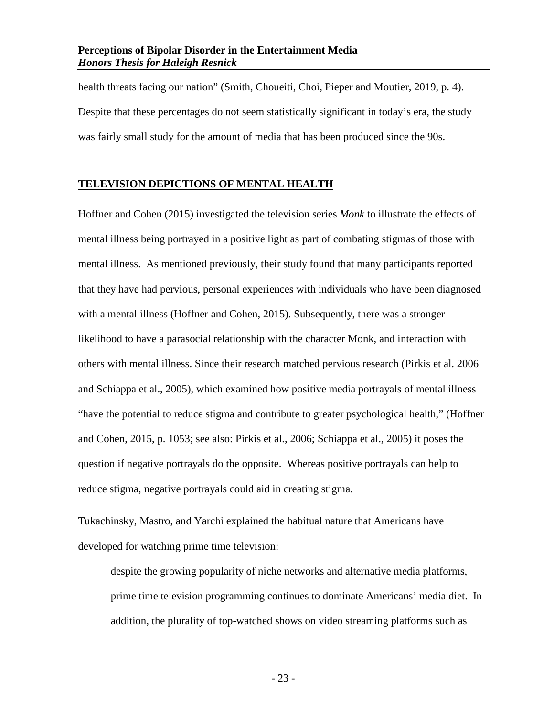health threats facing our nation" (Smith, Choueiti, Choi, Pieper and Moutier, 2019, p. 4). Despite that these percentages do not seem statistically significant in today's era, the study was fairly small study for the amount of media that has been produced since the 90s.

#### <span id="page-25-0"></span>**TELEVISION DEPICTIONS OF MENTAL HEALTH**

Hoffner and Cohen (2015) investigated the television series *Monk* to illustrate the effects of mental illness being portrayed in a positive light as part of combating stigmas of those with mental illness. As mentioned previously, their study found that many participants reported that they have had pervious, personal experiences with individuals who have been diagnosed with a mental illness (Hoffner and Cohen, 2015). Subsequently, there was a stronger likelihood to have a parasocial relationship with the character Monk, and interaction with others with mental illness. Since their research matched pervious research (Pirkis et al. 2006 and Schiappa et al., 2005), which examined how positive media portrayals of mental illness "have the potential to reduce stigma and contribute to greater psychological health," (Hoffner and Cohen, 2015, p. 1053; see also: Pirkis et al., 2006; Schiappa et al., 2005) it poses the question if negative portrayals do the opposite. Whereas positive portrayals can help to reduce stigma, negative portrayals could aid in creating stigma.

Tukachinsky, Mastro, and Yarchi explained the habitual nature that Americans have developed for watching prime time television:

despite the growing popularity of niche networks and alternative media platforms, prime time television programming continues to dominate Americans' media diet. In addition, the plurality of top-watched shows on video streaming platforms such as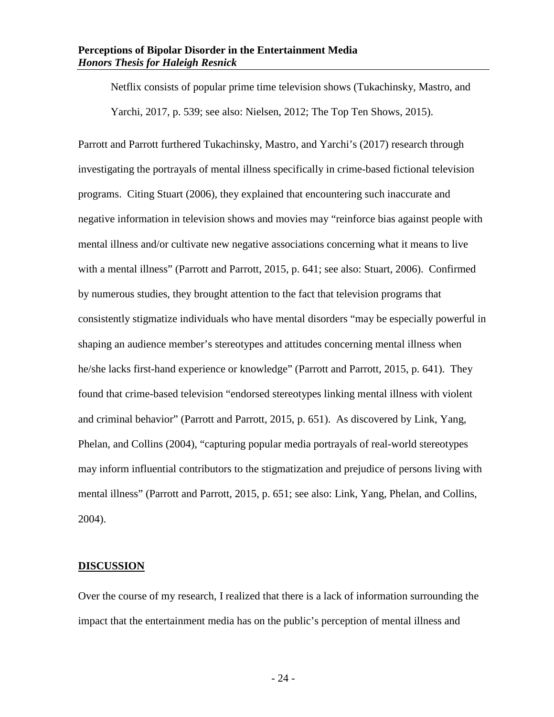Netflix consists of popular prime time television shows (Tukachinsky, Mastro, and Yarchi, 2017, p. 539; see also: Nielsen, 2012; The Top Ten Shows, 2015).

Parrott and Parrott furthered Tukachinsky, Mastro, and Yarchi's (2017) research through investigating the portrayals of mental illness specifically in crime-based fictional television programs. Citing Stuart (2006), they explained that encountering such inaccurate and negative information in television shows and movies may "reinforce bias against people with mental illness and/or cultivate new negative associations concerning what it means to live with a mental illness" (Parrott and Parrott, 2015, p. 641; see also: Stuart, 2006). Confirmed by numerous studies, they brought attention to the fact that television programs that consistently stigmatize individuals who have mental disorders "may be especially powerful in shaping an audience member's stereotypes and attitudes concerning mental illness when he/she lacks first-hand experience or knowledge" (Parrott and Parrott, 2015, p. 641). They found that crime-based television "endorsed stereotypes linking mental illness with violent and criminal behavior" (Parrott and Parrott, 2015, p. 651). As discovered by Link, Yang, Phelan, and Collins (2004), "capturing popular media portrayals of real-world stereotypes may inform influential contributors to the stigmatization and prejudice of persons living with mental illness" (Parrott and Parrott, 2015, p. 651; see also: Link, Yang, Phelan, and Collins, 2004).

#### <span id="page-26-0"></span>**DISCUSSION**

Over the course of my research, I realized that there is a lack of information surrounding the impact that the entertainment media has on the public's perception of mental illness and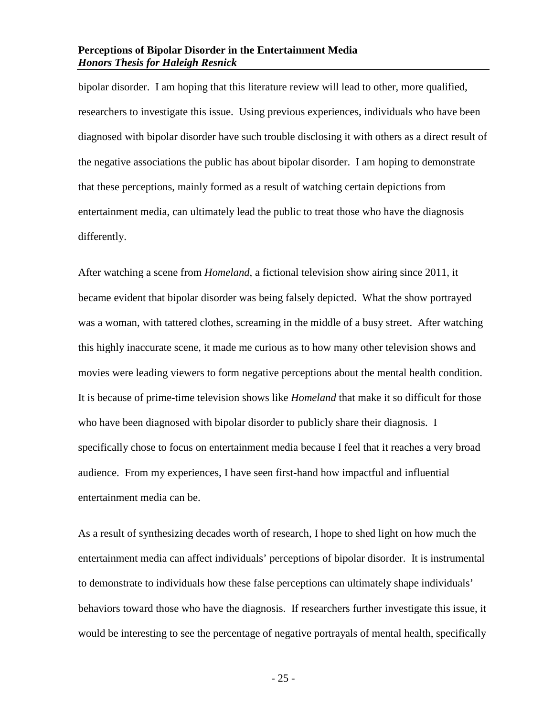bipolar disorder. I am hoping that this literature review will lead to other, more qualified, researchers to investigate this issue. Using previous experiences, individuals who have been diagnosed with bipolar disorder have such trouble disclosing it with others as a direct result of the negative associations the public has about bipolar disorder. I am hoping to demonstrate that these perceptions, mainly formed as a result of watching certain depictions from entertainment media, can ultimately lead the public to treat those who have the diagnosis differently.

After watching a scene from *Homeland*, a fictional television show airing since 2011, it became evident that bipolar disorder was being falsely depicted. What the show portrayed was a woman, with tattered clothes, screaming in the middle of a busy street. After watching this highly inaccurate scene, it made me curious as to how many other television shows and movies were leading viewers to form negative perceptions about the mental health condition. It is because of prime-time television shows like *Homeland* that make it so difficult for those who have been diagnosed with bipolar disorder to publicly share their diagnosis. I specifically chose to focus on entertainment media because I feel that it reaches a very broad audience. From my experiences, I have seen first-hand how impactful and influential entertainment media can be.

As a result of synthesizing decades worth of research, I hope to shed light on how much the entertainment media can affect individuals' perceptions of bipolar disorder. It is instrumental to demonstrate to individuals how these false perceptions can ultimately shape individuals' behaviors toward those who have the diagnosis. If researchers further investigate this issue, it would be interesting to see the percentage of negative portrayals of mental health, specifically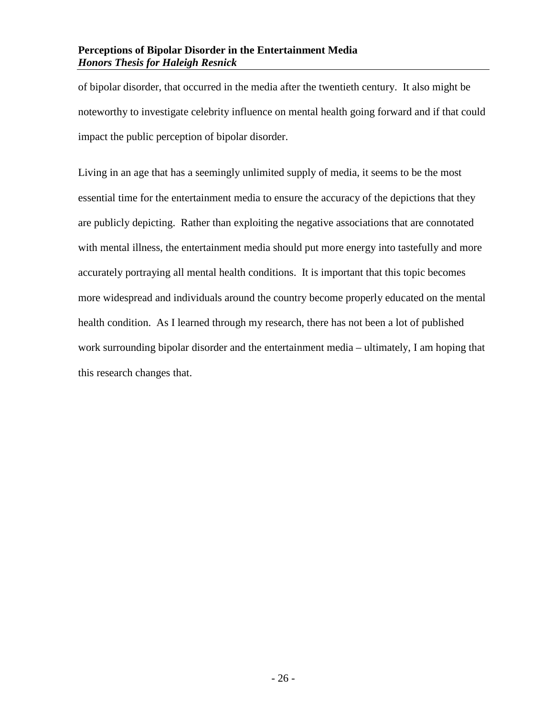of bipolar disorder, that occurred in the media after the twentieth century. It also might be noteworthy to investigate celebrity influence on mental health going forward and if that could impact the public perception of bipolar disorder.

Living in an age that has a seemingly unlimited supply of media, it seems to be the most essential time for the entertainment media to ensure the accuracy of the depictions that they are publicly depicting. Rather than exploiting the negative associations that are connotated with mental illness, the entertainment media should put more energy into tastefully and more accurately portraying all mental health conditions. It is important that this topic becomes more widespread and individuals around the country become properly educated on the mental health condition. As I learned through my research, there has not been a lot of published work surrounding bipolar disorder and the entertainment media – ultimately, I am hoping that this research changes that.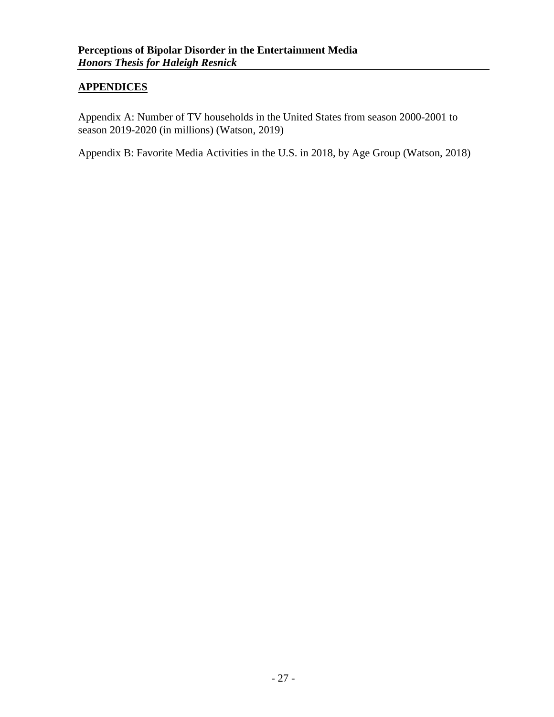#### <span id="page-29-0"></span>**APPENDICES**

Appendix A: Number of TV households in the United States from season 2000-2001 to season 2019-2020 (in millions) (Watson, 2019)

Appendix B: Favorite Media Activities in the U.S. in 2018, by Age Group (Watson, 2018)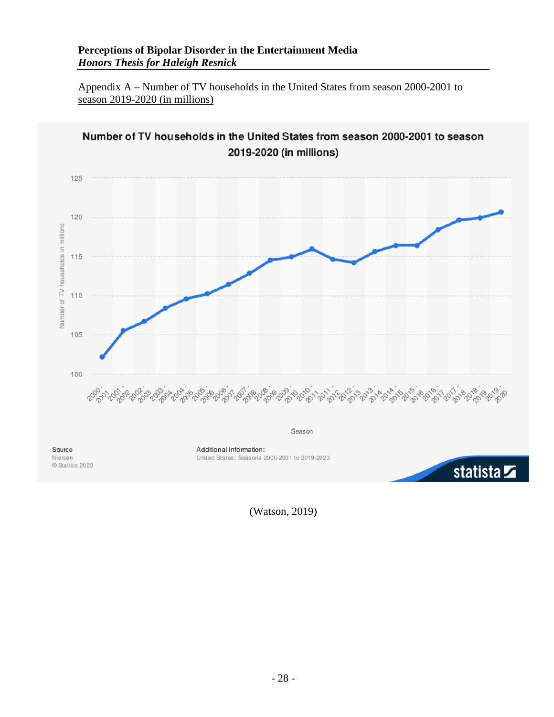<span id="page-30-0"></span>Appendix A – Number of TV households in the United States from season 2000-2001 to season 2019-2020 (in millions)



(Watson, 2019)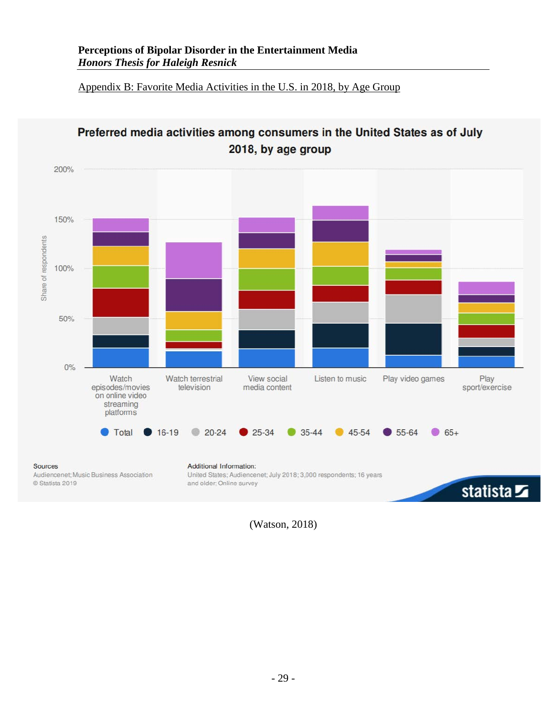<span id="page-31-0"></span>Appendix B: Favorite Media Activities in the U.S. in 2018, by Age Group



Preferred media activities among consumers in the United States as of July

(Watson, 2018)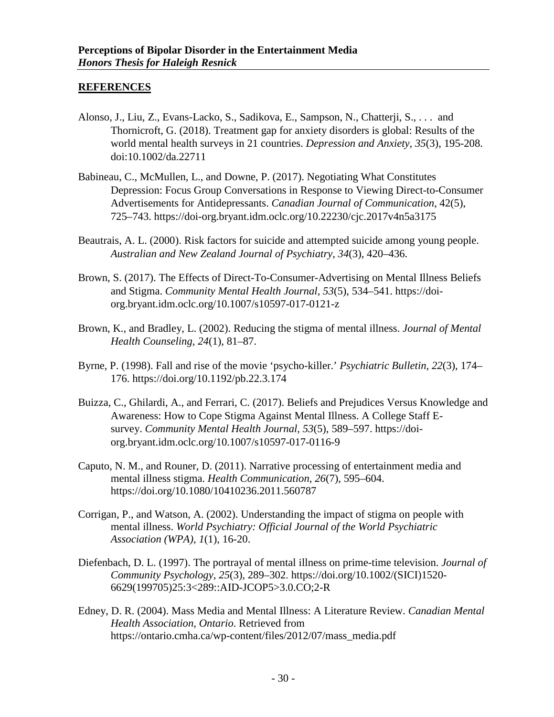#### <span id="page-32-0"></span>**REFERENCES**

- Alonso, J., Liu, Z., Evans-Lacko, S., Sadikova, E., Sampson, N., Chatterji, S., . . . and Thornicroft, G. (2018). Treatment gap for anxiety disorders is global: Results of the world mental health surveys in 21 countries. *Depression and Anxiety, 35*(3), 195-208. doi:10.1002/da.22711
- Babineau, C., McMullen, L., and Downe, P. (2017). Negotiating What Constitutes Depression: Focus Group Conversations in Response to Viewing Direct-to-Consumer Advertisements for Antidepressants. *Canadian Journal of Communication*, 42(5), 725–743. https://doi-org.bryant.idm.oclc.org/10.22230/cjc.2017v4n5a3175
- Beautrais, A. L. (2000). Risk factors for suicide and attempted suicide among young people. *Australian and New Zealand Journal of Psychiatry, 34*(3), 420–436.
- Brown, S. (2017). The Effects of Direct-To-Consumer-Advertising on Mental Illness Beliefs and Stigma. *Community Mental Health Journal, 53*(5), 534–541. https://doiorg.bryant.idm.oclc.org/10.1007/s10597-017-0121-z
- Brown, K., and Bradley, L. (2002). Reducing the stigma of mental illness. *Journal of Mental Health Counseling, 24*(1), 81–87.
- Byrne, P. (1998). Fall and rise of the movie 'psycho-killer.' *Psychiatric Bulletin, 22*(3), 174– 176. https://doi.org/10.1192/pb.22.3.174
- Buizza, C., Ghilardi, A., and Ferrari, C. (2017). Beliefs and Prejudices Versus Knowledge and Awareness: How to Cope Stigma Against Mental Illness. A College Staff Esurvey. *Community Mental Health Journal, 53*(5), 589–597. https://doiorg.bryant.idm.oclc.org/10.1007/s10597-017-0116-9
- Caputo, N. M., and Rouner, D. (2011). Narrative processing of entertainment media and mental illness stigma. *Health Communication*, *26*(7), 595–604. https://doi.org/10.1080/10410236.2011.560787
- Corrigan, P., and Watson, A. (2002). Understanding the impact of stigma on people with mental illness. *World Psychiatry: Official Journal of the World Psychiatric Association (WPA), 1*(1), 16-20.
- Diefenbach, D. L. (1997). The portrayal of mental illness on prime-time television. *Journal of Community Psychology, 25*(3), 289–302. https://doi.org/10.1002/(SICI)1520- 6629(199705)25:3<289::AID-JCOP5>3.0.CO;2-R
- Edney, D. R. (2004). Mass Media and Mental Illness: A Literature Review. *Canadian Mental Health Association, Ontario*. Retrieved from https://ontario.cmha.ca/wp-content/files/2012/07/mass\_media.pdf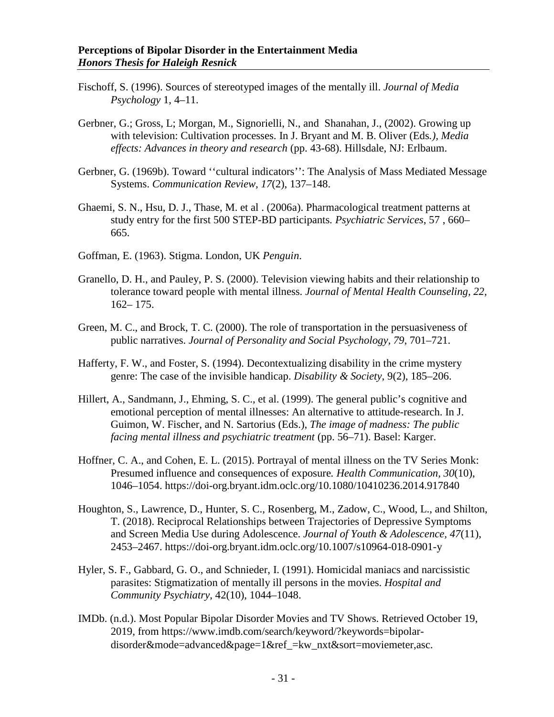- Fischoff, S. (1996). Sources of stereotyped images of the mentally ill. *Journal of Media Psychology* 1, 4–11.
- Gerbner, G.; Gross, L; Morgan, M., Signorielli, N., and Shanahan, J., (2002). Growing up with television: Cultivation processes. In J. Bryant and M. B. Oliver (Eds*.), Media effects: Advances in theory and research* (pp. 43-68). Hillsdale, NJ: Erlbaum.
- Gerbner, G. (1969b). Toward ''cultural indicators'': The Analysis of Mass Mediated Message Systems. *Communication Review, 17*(2), 137–148.
- Ghaemi, S. N., Hsu, D. J., Thase, M. et al . (2006a). Pharmacological treatment patterns at study entry for the first 500 STEP-BD participants*. Psychiatric Services*, 57 , 660– 665.
- Goffman, E. (1963). Stigma. London, UK *Penguin*.
- Granello, D. H., and Pauley, P. S. (2000). Television viewing habits and their relationship to tolerance toward people with mental illness. *Journal of Mental Health Counseling, 22*, 162– 175.
- Green, M. C., and Brock, T. C. (2000). The role of transportation in the persuasiveness of public narratives. *Journal of Personality and Social Psychology, 79*, 701–721.
- Hafferty, F. W., and Foster, S. (1994). Decontextualizing disability in the crime mystery genre: The case of the invisible handicap. *Disability & Society*, 9(2), 185–206.
- Hillert, A., Sandmann, J., Ehming, S. C., et al. (1999). The general public's cognitive and emotional perception of mental illnesses: An alternative to attitude-research. In J. Guimon, W. Fischer, and N. Sartorius (Eds.), *The image of madness: The public facing mental illness and psychiatric treatment* (pp. 56–71). Basel: Karger.
- Hoffner, C. A., and Cohen, E. L. (2015). Portrayal of mental illness on the TV Series Monk: Presumed influence and consequences of exposure*. Health Communication, 30*(10), 1046–1054. https://doi-org.bryant.idm.oclc.org/10.1080/10410236.2014.917840
- Houghton, S., Lawrence, D., Hunter, S. C., Rosenberg, M., Zadow, C., Wood, L., and Shilton, T. (2018). Reciprocal Relationships between Trajectories of Depressive Symptoms and Screen Media Use during Adolescence. *Journal of Youth & Adolescence, 47*(11), 2453–2467. https://doi-org.bryant.idm.oclc.org/10.1007/s10964-018-0901-y
- Hyler, S. F., Gabbard, G. O., and Schnieder, I. (1991). Homicidal maniacs and narcissistic parasites: Stigmatization of mentally ill persons in the movies. *Hospital and Community Psychiatry*, 42(10), 1044–1048.
- IMDb. (n.d.). Most Popular Bipolar Disorder Movies and TV Shows. Retrieved October 19, 2019, from https://www.imdb.com/search/keyword/?keywords=bipolardisorder&mode=advanced&page=1&ref\_=kw\_nxt&sort=moviemeter,asc.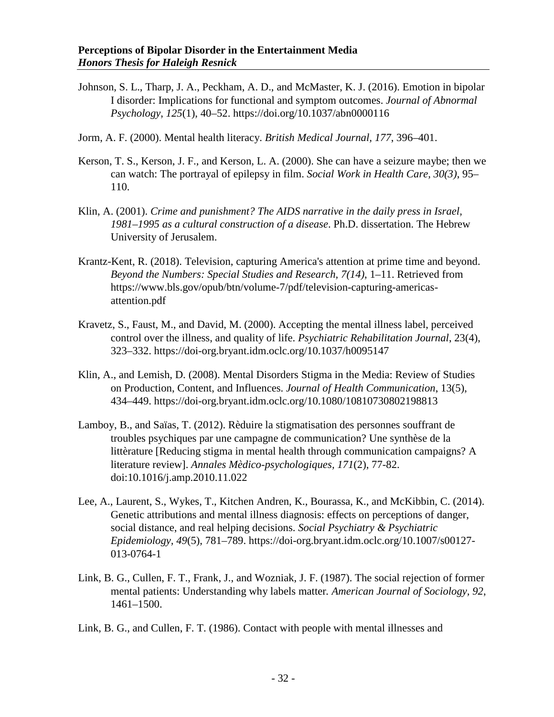- Johnson, S. L., Tharp, J. A., Peckham, A. D., and McMaster, K. J. (2016). Emotion in bipolar I disorder: Implications for functional and symptom outcomes. *Journal of Abnormal Psychology*, *125*(1), 40–52. https://doi.org/10.1037/abn0000116
- Jorm, A. F. (2000). Mental health literacy. *British Medical Journal, 177*, 396–401.
- Kerson, T. S., Kerson, J. F., and Kerson, L. A. (2000). She can have a seizure maybe; then we can watch: The portrayal of epilepsy in film. *Social Work in Health Care, 30(3)*, 95– 110.
- Klin, A. (2001). *Crime and punishment? The AIDS narrative in the daily press in Israel, 1981–1995 as a cultural construction of a disease*. Ph.D. dissertation. The Hebrew University of Jerusalem.
- Krantz-Kent, R. (2018). Television, capturing America's attention at prime time and beyond. *Beyond the Numbers: Special Studies and Research, 7(14)*, 1–11. Retrieved from https://www.bls.gov/opub/btn/volume-7/pdf/television-capturing-americasattention.pdf
- Kravetz, S., Faust, M., and David, M. (2000). Accepting the mental illness label, perceived control over the illness, and quality of life. *Psychiatric Rehabilitation Journal*, 23(4), 323–332. https://doi-org.bryant.idm.oclc.org/10.1037/h0095147
- Klin, A., and Lemish, D. (2008). Mental Disorders Stigma in the Media: Review of Studies on Production, Content, and Influences. *Journal of Health Communication*, 13(5), 434–449. https://doi-org.bryant.idm.oclc.org/10.1080/10810730802198813
- Lamboy, B., and Saïas, T. (2012). Rèduire la stigmatisation des personnes souffrant de troubles psychiques par une campagne de communication? Une synthèse de la littèrature [Reducing stigma in mental health through communication campaigns? A literature review]. *Annales Mèdico-psychologiques, 171*(2), 77-82. doi:10.1016/j.amp.2010.11.022
- Lee, A., Laurent, S., Wykes, T., Kitchen Andren, K., Bourassa, K., and McKibbin, C. (2014). Genetic attributions and mental illness diagnosis: effects on perceptions of danger, social distance, and real helping decisions. *Social Psychiatry & Psychiatric Epidemiology, 49*(5), 781–789. https://doi-org.bryant.idm.oclc.org/10.1007/s00127- 013-0764-1
- Link, B. G., Cullen, F. T., Frank, J., and Wozniak, J. F. (1987). The social rejection of former mental patients: Understanding why labels matter*. American Journal of Sociology, 92*, 1461–1500.
- Link, B. G., and Cullen, F. T. (1986). Contact with people with mental illnesses and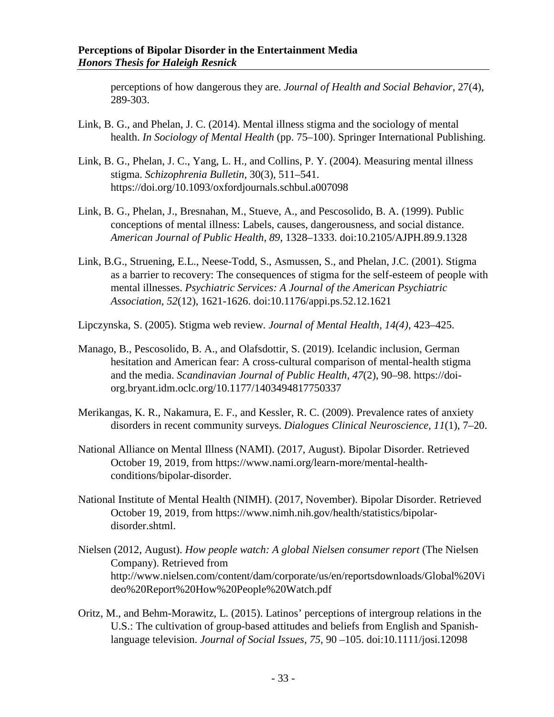perceptions of how dangerous they are. *Journal of Health and Social Behavior*, 27(4), 289-303.

- Link, B. G., and Phelan, J. C. (2014). Mental illness stigma and the sociology of mental health. *In Sociology of Mental Health* (pp. 75–100). Springer International Publishing.
- Link, B. G., Phelan, J. C., Yang, L. H., and Collins, P. Y. (2004). Measuring mental illness stigma. *Schizophrenia Bulletin*, 30(3), 511–541. https://doi.org/10.1093/oxfordjournals.schbul.a007098
- Link, B. G., Phelan, J., Bresnahan, M., Stueve, A., and Pescosolido, B. A. (1999). Public conceptions of mental illness: Labels, causes, dangerousness, and social distance. *American Journal of Public Health, 89*, 1328–1333. doi:10.2105/AJPH.89.9.1328
- Link, B.G., Struening, E.L., Neese-Todd, S., Asmussen, S., and Phelan, J.C. (2001). Stigma as a barrier to recovery: The consequences of stigma for the self-esteem of people with mental illnesses. *Psychiatric Services: A Journal of the American Psychiatric Association, 52*(12), 1621-1626. doi:10.1176/appi.ps.52.12.1621
- Lipczynska, S. (2005). Stigma web review*. Journal of Mental Health, 14(4)*, 423–425.
- Manago, B., Pescosolido, B. A., and Olafsdottir, S. (2019). Icelandic inclusion, German hesitation and American fear: A cross-cultural comparison of mental-health stigma and the media. *Scandinavian Journal of Public Health, 47*(2), 90–98. https://doiorg.bryant.idm.oclc.org/10.1177/1403494817750337
- Merikangas, K. R., Nakamura, E. F., and Kessler, R. C. (2009). Prevalence rates of anxiety disorders in recent community surveys. *Dialogues Clinical Neuroscience, 11*(1), 7–20.
- National Alliance on Mental Illness (NAMI). (2017, August). Bipolar Disorder. Retrieved October 19, 2019, from https://www.nami.org/learn-more/mental-healthconditions/bipolar-disorder.
- National Institute of Mental Health (NIMH). (2017, November). Bipolar Disorder. Retrieved October 19, 2019, from https://www.nimh.nih.gov/health/statistics/bipolardisorder.shtml.
- Nielsen (2012, August). *How people watch: A global Nielsen consumer report* (The Nielsen Company). Retrieved from http://www.nielsen.com/content/dam/corporate/us/en/reportsdownloads/Global%20Vi deo%20Report%20How%20People%20Watch.pdf
- Oritz, M., and Behm-Morawitz, L. (2015). Latinos' perceptions of intergroup relations in the U.S.: The cultivation of group-based attitudes and beliefs from English and Spanishlanguage television. *Journal of Social Issues, 75*, 90 –105. doi:10.1111/josi.12098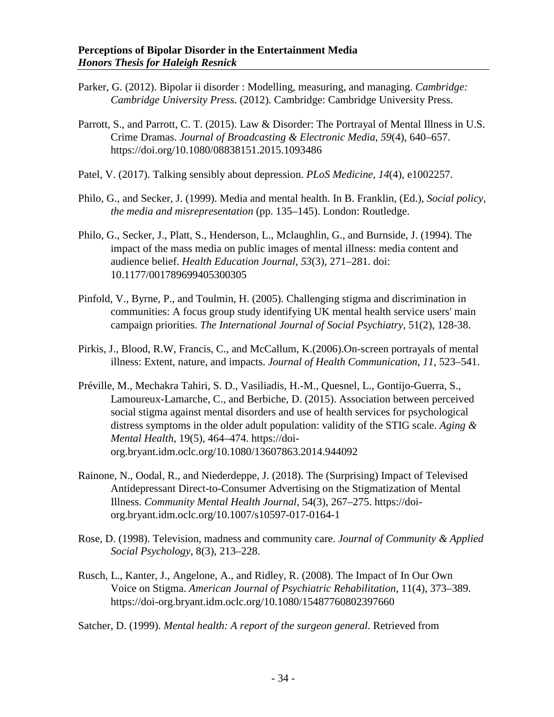- Parker, G. (2012). Bipolar ii disorder : Modelling, measuring, and managing. *Cambridge: Cambridge University Press*. (2012). Cambridge: Cambridge University Press.
- Parrott, S., and Parrott, C. T. (2015). Law & Disorder: The Portrayal of Mental Illness in U.S. Crime Dramas. *Journal of Broadcasting & Electronic Media, 59*(4), 640–657. https://doi.org/10.1080/08838151.2015.1093486
- Patel, V. (2017). Talking sensibly about depression. *PLoS Medicine, 14*(4), e1002257.
- Philo, G., and Secker, J. (1999). Media and mental health. In B. Franklin, (Ed.), *Social policy, the media and misrepresentation* (pp. 135–145). London: Routledge.
- Philo, G., Secker, J., Platt, S., Henderson, L., Mclaughlin, G., and Burnside, J. (1994). The impact of the mass media on public images of mental illness: media content and audience belief. *Health Education Journal, 53*(3), 271–281. doi: 10.1177/001789699405300305
- Pinfold, V., Byrne, P., and Toulmin, H. (2005). Challenging stigma and discrimination in communities: A focus group study identifying UK mental health service users' main campaign priorities. *The International Journal of Social Psychiatry*, 51(2), 128-38.
- Pirkis, J., Blood, R.W, Francis, C., and McCallum, K.(2006).On-screen portrayals of mental illness: Extent, nature, and impacts. *Journal of Health Communication, 11*, 523–541.
- Préville, M., Mechakra Tahiri, S. D., Vasiliadis, H.-M., Quesnel, L., Gontijo-Guerra, S., Lamoureux-Lamarche, C., and Berbiche, D. (2015). Association between perceived social stigma against mental disorders and use of health services for psychological distress symptoms in the older adult population: validity of the STIG scale. *Aging & Mental Health*, 19(5), 464–474. https://doiorg.bryant.idm.oclc.org/10.1080/13607863.2014.944092
- Rainone, N., Oodal, R., and Niederdeppe, J. (2018). The (Surprising) Impact of Televised Antidepressant Direct-to-Consumer Advertising on the Stigmatization of Mental Illness. *Community Mental Health Journal*, 54(3), 267–275. https://doiorg.bryant.idm.oclc.org/10.1007/s10597-017-0164-1
- Rose, D. (1998). Television, madness and community care. *Journal of Community & Applied Social Psychology*, 8(3), 213–228.
- Rusch, L., Kanter, J., Angelone, A., and Ridley, R. (2008). The Impact of In Our Own Voice on Stigma. *American Journal of Psychiatric Rehabilitation*, 11(4), 373–389. https://doi-org.bryant.idm.oclc.org/10.1080/15487760802397660
- Satcher, D. (1999). *Mental health: A report of the surgeon general*. Retrieved from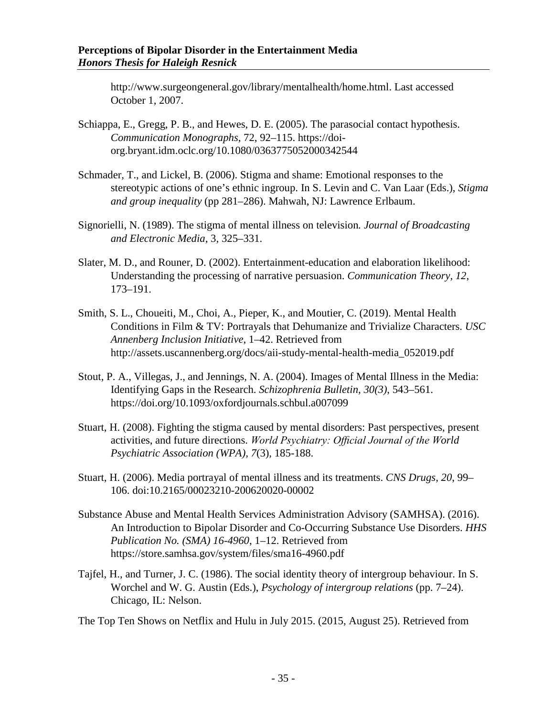http://www.surgeongeneral.gov/library/mentalhealth/home.html. Last accessed October 1, 2007.

- Schiappa, E., Gregg, P. B., and Hewes, D. E. (2005). The parasocial contact hypothesis. *Communication Monographs*, 72, 92–115. https://doiorg.bryant.idm.oclc.org/10.1080/0363775052000342544
- Schmader, T., and Lickel, B. (2006). Stigma and shame: Emotional responses to the stereotypic actions of one's ethnic ingroup. In S. Levin and C. Van Laar (Eds.), *Stigma and group inequality* (pp 281–286). Mahwah, NJ: Lawrence Erlbaum.
- Signorielli, N. (1989). The stigma of mental illness on television*. Journal of Broadcasting and Electronic Media*, 3, 325–331.
- Slater, M. D., and Rouner, D. (2002). Entertainment-education and elaboration likelihood: Understanding the processing of narrative persuasion. *Communication Theory, 12*, 173–191.
- Smith, S. L., Choueiti, M., Choi, A., Pieper, K., and Moutier, C. (2019). Mental Health Conditions in Film & TV: Portrayals that Dehumanize and Trivialize Characters. *USC Annenberg Inclusion Initiative*, 1–42. Retrieved from http://assets.uscannenberg.org/docs/aii-study-mental-health-media\_052019.pdf
- Stout, P. A., Villegas, J., and Jennings, N. A. (2004). Images of Mental Illness in the Media: Identifying Gaps in the Research. *Schizophrenia Bulletin, 30(3)*, 543–561. <https://doi.org/10.1093/oxfordjournals.schbul.a007099>
- Stuart, H. (2008). Fighting the stigma caused by mental disorders: Past perspectives, present activities, and future directions. *World Psychiatry: Official Journal of the World Psychiatric Association (WPA), 7*(3), 185-188.
- Stuart, H. (2006). Media portrayal of mental illness and its treatments. *CNS Drugs, 20*, 99– 106. doi:10.2165/00023210-200620020-00002
- Substance Abuse and Mental Health Services Administration Advisory (SAMHSA). (2016). An Introduction to Bipolar Disorder and Co-Occurring Substance Use Disorders. *HHS Publication No. (SMA) 16-4960*, 1–12. Retrieved from https://store.samhsa.gov/system/files/sma16-4960.pdf
- Tajfel, H., and Turner, J. C. (1986). The social identity theory of intergroup behaviour. In S. Worchel and W. G. Austin (Eds.), *Psychology of intergroup relations* (pp. 7–24). Chicago, IL: Nelson.
- The Top Ten Shows on Netflix and Hulu in July 2015. (2015, August 25). Retrieved from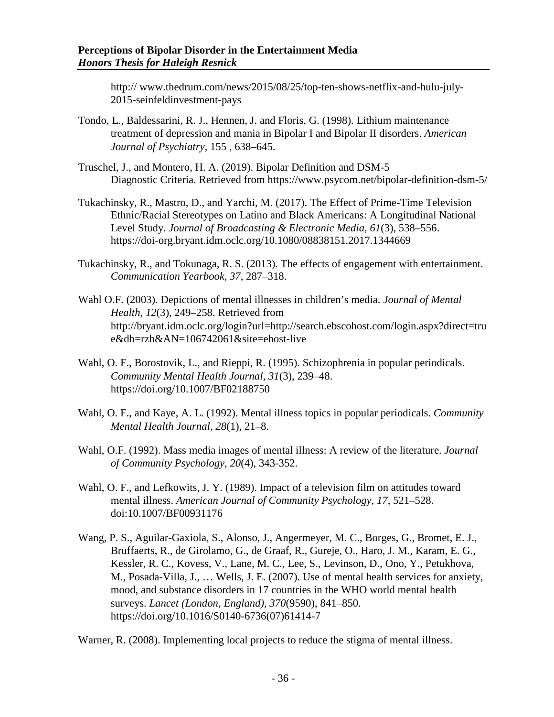http:// www.thedrum.com/news/2015/08/25/top-ten-shows-netflix-and-hulu-july-2015-seinfeldinvestment-pays

- Tondo, L., Baldessarini, R. J., Hennen, J. and Floris, G. (1998). Lithium maintenance treatment of depression and mania in Bipolar I and Bipolar II disorders. *American Journal of Psychiatry*, 155 , 638–645.
- Truschel, J., and Montero, H. A. (2019). Bipolar Definition and DSM-5 Diagnostic Criteria. Retrieved from https://www.psycom.net/bipolar-definition-dsm-5/
- Tukachinsky, R., Mastro, D., and Yarchi, M. (2017). The Effect of Prime-Time Television Ethnic/Racial Stereotypes on Latino and Black Americans: A Longitudinal National Level Study. *Journal of Broadcasting & Electronic Media, 61*(3), 538–556. https://doi-org.bryant.idm.oclc.org/10.1080/08838151.2017.1344669
- Tukachinsky, R., and Tokunaga, R. S. (2013). The effects of engagement with entertainment. *Communication Yearbook, 37*, 287–318.
- Wahl O.F. (2003). Depictions of mental illnesses in children's media. *Journal of Mental Health*, *12*(3), 249–258. Retrieved from http://bryant.idm.oclc.org/login?url=http://search.ebscohost.com/login.aspx?direct=tru e&db=rzh&AN=106742061&site=ehost-live
- Wahl, O. F., Borostovik, L., and Rieppi, R. (1995). Schizophrenia in popular periodicals. *Community Mental Health Journal, 31*(3), 239–48. https://doi.org/10.1007/BF02188750
- Wahl, O. F., and Kaye, A. L. (1992). Mental illness topics in popular periodicals. *Community Mental Health Journal, 28*(1), 21–8.
- Wahl, O.F. (1992). Mass media images of mental illness: A review of the literature. *Journal of Community Psychology, 20*(4), 343-352.
- Wahl, O. F., and Lefkowits, J. Y. (1989). Impact of a television film on attitudes toward mental illness. *American Journal of Community Psychology, 17*, 521–528. doi:10.1007/BF00931176
- Wang, P. S., Aguilar-Gaxiola, S., Alonso, J., Angermeyer, M. C., Borges, G., Bromet, E. J., Bruffaerts, R., de Girolamo, G., de Graaf, R., Gureje, O., Haro, J. M., Karam, E. G., Kessler, R. C., Kovess, V., Lane, M. C., Lee, S., Levinson, D., Ono, Y., Petukhova, M., Posada-Villa, J., … Wells, J. E. (2007). Use of mental health services for anxiety, mood, and substance disorders in 17 countries in the WHO world mental health surveys. *Lancet (London, England), 370*(9590), 841–850. https://doi.org/10.1016/S0140-6736(07)61414-7

Warner, R. (2008). Implementing local projects to reduce the stigma of mental illness.